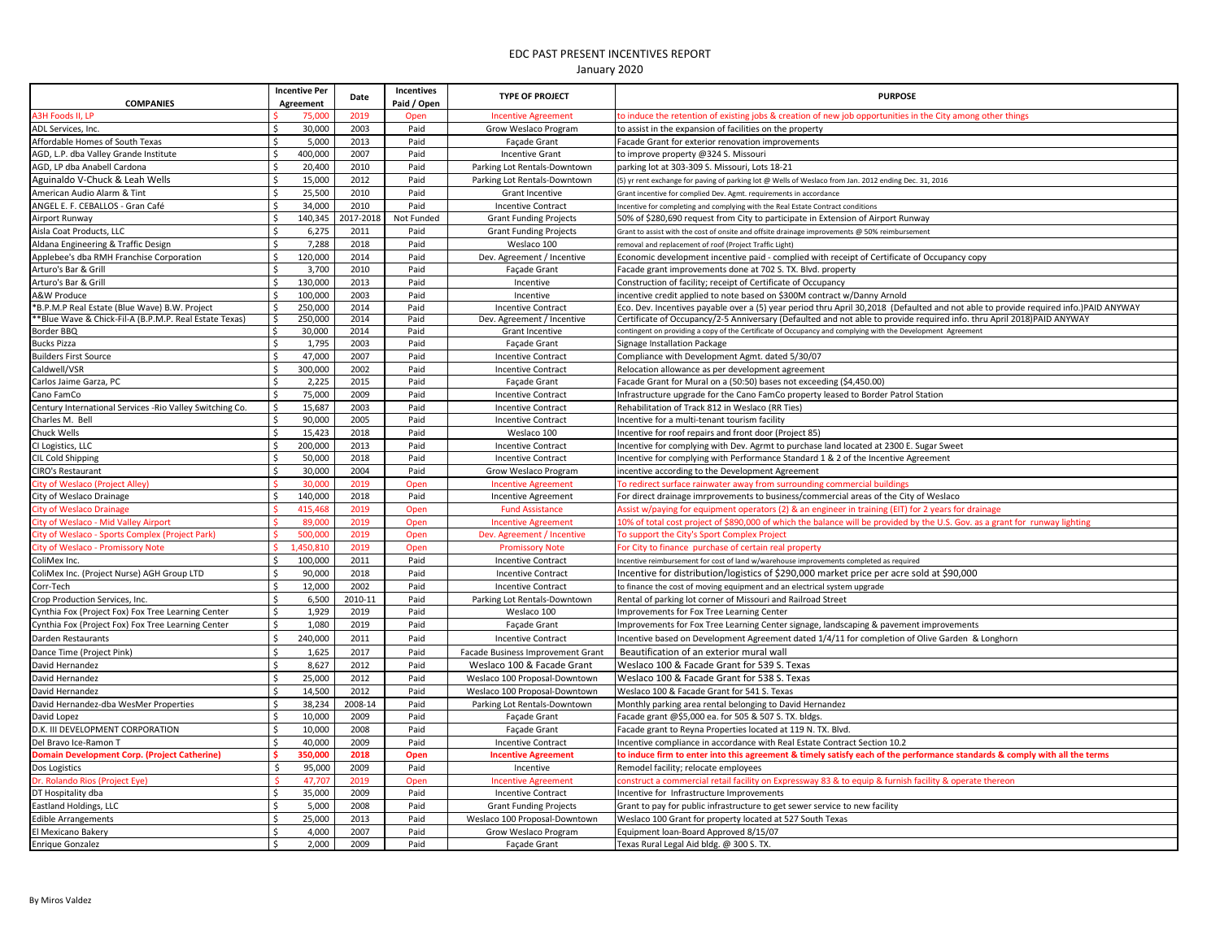| <b>COMPANIES</b>                                          | <b>Incentive Per</b><br>Agreement | Date      | <b>Incentives</b><br>Paid / Open | <b>TYPE OF PROJECT</b>            | <b>PURPOSE</b>                                                                                                                       |
|-----------------------------------------------------------|-----------------------------------|-----------|----------------------------------|-----------------------------------|--------------------------------------------------------------------------------------------------------------------------------------|
| A3H Foods II, LP                                          | 75,000                            | 2019      | Oper                             | <b>Incentive Agreement</b>        | to induce the retention of existing jobs & creation of new job opportunities in the City among other things                          |
| ADL Services, Inc.                                        | Ś<br>30,000                       | 2003      | Paid                             | Grow Weslaco Program              | to assist in the expansion of facilities on the property                                                                             |
| Affordable Homes of South Texas                           | Ŝ.<br>5,000                       | 2013      | Paid                             | <b>Facade Grant</b>               | Facade Grant for exterior renovation improvements                                                                                    |
| AGD, L.P. dba Valley Grande Institute                     | Ś<br>400,000                      | 2007      | Paid                             | <b>Incentive Grant</b>            | to improve property @324 S. Missour                                                                                                  |
| AGD, LP dba Anabell Cardona                               | Ś<br>20,400                       | 2010      | Paid                             | Parking Lot Rentals-Downtown      | parking lot at 303-309 S. Missouri, Lots 18-21                                                                                       |
| Aguinaldo V-Chuck & Leah Wells                            | Ś<br>15,000                       | 2012      | Paid                             | Parking Lot Rentals-Downtown      | (5) yr rent exchange for paving of parking lot @ Wells of Weslaco from Jan. 2012 ending Dec. 31, 2016                                |
| American Audio Alarm & Tint                               | \$<br>25,500                      | 2010      | Paid                             | Grant Incentive                   | Grant incentive for complied Dev. Agmt. requirements in accordance                                                                   |
| ANGEL E. F. CEBALLOS - Gran Café                          | Ś<br>34,000                       | 2010      | Paid                             | <b>Incentive Contract</b>         | Incentive for completing and complying with the Real Estate Contract conditions                                                      |
| Airport Runway                                            | Ŝ.<br>140,345                     | 2017-2018 | Not Funded                       | <b>Grant Funding Projects</b>     | 50% of \$280,690 request from City to participate in Extension of Airport Runway                                                     |
| Aisla Coat Products, LLC                                  | Ś<br>6,275                        | 2011      | Paid                             | <b>Grant Funding Projects</b>     | Grant to assist with the cost of onsite and offsite drainage improvements @ 50% reimbursement                                        |
| Aldana Engineering & Traffic Design                       | Ś<br>7,288                        | 2018      | Paid                             | Weslaco 100                       | removal and replacement of roof (Project Traffic Light)                                                                              |
| Applebee's dba RMH Franchise Corporation                  | \$<br>120,000                     | 2014      | Paid                             | Dev. Agreement / Incentive        | Economic development incentive paid - complied with receipt of Certificate of Occupancy copy                                         |
| Arturo's Bar & Grill                                      | \$<br>3,700                       | 2010      | Paid                             | <b>Facade Grant</b>               | Facade grant improvements done at 702 S. TX. Blvd. property                                                                          |
| Arturo's Bar & Grill                                      | Ś.<br>130,000                     | 2013      | Paid                             | Incentive                         | Construction of facility; receipt of Certificate of Occupancy                                                                        |
| A&W Produce                                               | 100,000<br>Ś                      | 2003      | Paid                             | Incentive                         | incentive credit applied to note based on \$300M contract w/Danny Arnold                                                             |
| *B.P.M.P Real Estate (Blue Wave) B.W. Project             | Ś<br>250,000                      | 2014      | Paid                             | <b>Incentive Contract</b>         | Eco. Dev. Incentives payable over a (5) year period thru April 30,2018 (Defaulted and not able to provide required info.)PAID ANYWAY |
| **Blue Wave & Chick-Fil-A (B.P.M.P. Real Estate Texas)    | 250,000<br>S,                     | 2014      | Paid                             | Dev. Agreement / Incentive        | Certificate of Occupancy/2-5 Anniversary (Defaulted and not able to provide required info. thru April 2018)PAID ANYWAY               |
| Border BBQ                                                | 30,000<br>-S                      | 2014      | Paid                             | Grant Incentive                   | contingent on providing a copy of the Certificate of Occupancy and complying with the Development Agreement                          |
| <b>Bucks Pizza</b>                                        | Ś<br>1,795                        | 2003      | Paid                             | Façade Grant                      | Signage Installation Package                                                                                                         |
| <b>Builders First Source</b>                              | Ś<br>47,000                       | 2007      | Paid                             | <b>Incentive Contract</b>         | Compliance with Development Agmt. dated 5/30/07                                                                                      |
| Caldwell/VSR                                              | 300,000<br>Ś                      | 2002      | Paid                             | <b>Incentive Contract</b>         | Relocation allowance as per development agreement                                                                                    |
| Carlos Jaime Garza, PC                                    | 2,225                             | 2015      | Paid                             | Façade Grant                      | Facade Grant for Mural on a (50:50) bases not exceeding (\$4,450.00)                                                                 |
| Cano FamCo                                                | $\leq$<br>75,000                  | 2009      | Paid                             | <b>Incentive Contract</b>         | Infrastructure upgrade for the Cano FamCo property leased to Border Patrol Station                                                   |
| Century International Services - Rio Valley Switching Co. | <sub>\$</sub><br>15,687           | 2003      | Paid                             | <b>Incentive Contract</b>         | Rehabilitation of Track 812 in Weslaco (RR Ties)                                                                                     |
| Charles M. Bell                                           | \$<br>90,000                      | 2005      | Paid                             | <b>Incentive Contract</b>         | Incentive for a multi-tenant tourism facility                                                                                        |
| Chuck Wells                                               | Ś.<br>15,423                      | 2018      | Paid                             | Weslaco 100                       | Incentive for roof repairs and front door (Project 85)                                                                               |
| CI Logistics, LLC                                         | 200,000<br>-\$                    | 2013      | Paid                             | <b>Incentive Contract</b>         | Incentive for complying with Dev. Agrmt to purchase land located at 2300 E. Sugar Sweet                                              |
| CIL Cold Shipping                                         | Ś<br>50,000                       | 2018      | Paid                             | <b>Incentive Contract</b>         | Incentive for complying with Performance Standard 1 & 2 of the Incentive Agreement                                                   |
| <b>CIRO's Restaurant</b>                                  | Ś<br>30,000                       | 2004      | Paid                             | Grow Weslaco Program              | incentive according to the Development Agreement                                                                                     |
| City of Weslaco (Project Alley)                           | 30,000                            | 2019      | Open                             | <b>Incentive Agreement</b>        | To redirect surface rainwater away from surrounding commercial buildings                                                             |
| City of Weslaco Drainage                                  | 140,000<br>Ŝ.                     | 2018      | Paid                             | Incentive Agreement               | For direct drainage imrprovements to business/commercial areas of the City of Weslaco                                                |
| City of Weslaco Drainage                                  | 415,468                           | 2019      | Open                             | <b>Fund Assistance</b>            | Assist w/paying for equipment operators (2) & an engineer in training (EIT) for 2 years for drainage                                 |
| City of Weslaco - Mid Valley Airport                      | 89,000                            | 2019      | Open                             | <b>Incentive Agreement</b>        | 10% of total cost project of \$890,000 of which the balance will be provided by the U.S. Gov. as a grant for runway lighting         |
| City of Weslaco - Sports Complex (Project Park)           | 500,000                           | 2019      | Open                             | Dev. Agreement / Incentive        | To support the City's Sport Complex Project                                                                                          |
| City of Weslaco - Promissory Note                         | 1.450.810<br>ς                    | 2019      | Open                             | <b>Promissory Note</b>            | For City to finance purchase of certain real property                                                                                |
| ColiMex Inc.                                              | 100,000<br>Ŝ.                     | 2011      | Paid                             | <b>Incentive Contract</b>         | Incentive reimbursement for cost of land w/warehouse improvements completed as required                                              |
| ColiMex Inc. (Project Nurse) AGH Group LTD                | \$<br>90,000                      | 2018      | Paid                             | <b>Incentive Contract</b>         | Incentive for distribution/logistics of \$290,000 market price per acre sold at \$90,000                                             |
| Corr-Tech                                                 | 12,000<br>\$                      | 2002      | Paid                             | <b>Incentive Contract</b>         | to finance the cost of moving equipment and an electrical system upgrade                                                             |
| Crop Production Services, Inc.                            | 6,500<br>\$                       | 2010-11   | Paid                             | Parking Lot Rentals-Downtown      | Rental of parking lot corner of Missouri and Railroad Street                                                                         |
| Cynthia Fox (Project Fox) Fox Tree Learning Center        | $\mathsf{\dot{S}}$<br>1,929       | 2019      | Paid                             | Weslaco 100                       | Improvements for Fox Tree Learning Center                                                                                            |
| Cynthia Fox (Project Fox) Fox Tree Learning Center        | \$<br>1,080                       | 2019      | Paid                             | Façade Grant                      | Improvements for Fox Tree Learning Center signage, landscaping & pavement improvements                                               |
| Darden Restaurants                                        | $\ddot{\mathsf{S}}$<br>240,000    | 2011      | Paid                             | <b>Incentive Contract</b>         | Incentive based on Development Agreement dated 1/4/11 for completion of Olive Garden & Longhorn                                      |
| Dance Time (Project Pink)                                 | $\mathsf{\dot{S}}$<br>1,625       | 2017      | Paid                             | Facade Business Improvement Grant | Beautification of an exterior mural wall                                                                                             |
| David Hernandez                                           | $\mathsf{\$}$<br>8,627            | 2012      | Paid                             | Weslaco 100 & Facade Grant        | Weslaco 100 & Facade Grant for 539 S. Texas                                                                                          |
| David Hernandez                                           | Ś<br>25,000                       | 2012      | Paid                             | Weslaco 100 Proposal-Downtown     | Weslaco 100 & Facade Grant for 538 S. Texas                                                                                          |
|                                                           | 14,500<br>-Ś                      | 2012      | Paid                             |                                   |                                                                                                                                      |
| David Hernandez                                           | Ś                                 |           |                                  | Weslaco 100 Proposal-Downtown     | Weslaco 100 & Facade Grant for 541 S. Texas                                                                                          |
| David Hernandez-dba WesMer Properties                     | 38,234                            | 2008-14   | Paid                             | Parking Lot Rentals-Downtown      | Monthly parking area rental belonging to David Hernandez                                                                             |
| David Lopez                                               | 10,000<br>\$                      | 2009      | Paid                             | Façade Grant                      | Facade grant @\$5,000 ea. for 505 & 507 S. TX. bldgs                                                                                 |
| D.K. III DEVELOPMENT CORPORATION                          | Ŝ.<br>10,000                      | 2008      | Paid                             | <b>Facade Grant</b>               | Facade grant to Reyna Properties located at 119 N. TX. Blvd.                                                                         |
| Del Bravo Ice-Ramon T                                     | Ŝ.<br>40,000                      | 2009      | Paid                             | <b>Incentive Contract</b>         | Incentive compliance in accordance with Real Estate Contract Section 10.2                                                            |
| <b>Domain Development Corp. (Project Catherine)</b>       | 350,000                           | 2018      | Open                             | <b>Incentive Agreement</b>        | to induce firm to enter into this agreement & timely satisfy each of the performance standards & comply with all the terms           |
| Dos Logistics                                             | 95,000<br>\$                      | 2009      | Paid                             | Incentive                         | Remodel facility; relocate employees                                                                                                 |
| Dr. Rolando Rios (Project Eye)                            | 47,707<br>-Ś                      | 2019      | Open                             | <b>Incentive Agreement</b>        | construct a commercial retail facility on Expressway 83 & to equip & furnish facility & operate thereon                              |
| DT Hospitality dba                                        | \$<br>35,000                      | 2009      | Paid                             | <b>Incentive Contract</b>         | Incentive for Infrastructure Improvements                                                                                            |
| Eastland Holdings, LLC                                    | Ŝ.<br>5,000                       | 2008      | Paid                             | <b>Grant Funding Projects</b>     | Grant to pay for public infrastructure to get sewer service to new facility                                                          |
| <b>Edible Arrangements</b>                                | Ŝ.<br>25.000                      | 2013      | Paid                             | Weslaco 100 Proposal-Downtown     | Weslaco 100 Grant for property located at 527 South Texas                                                                            |
| El Mexicano Bakery                                        | Ś.<br>4,000                       | 2007      | Paid                             | Grow Weslaco Program              | Equipment loan-Board Approved 8/15/07                                                                                                |
| <b>Enrique Gonzalez</b>                                   | $\mathsf{S}$<br>2,000             | 2009      | Paid                             | <b>Facade Grant</b>               | Texas Rural Legal Aid bldg. @ 300 S. TX.                                                                                             |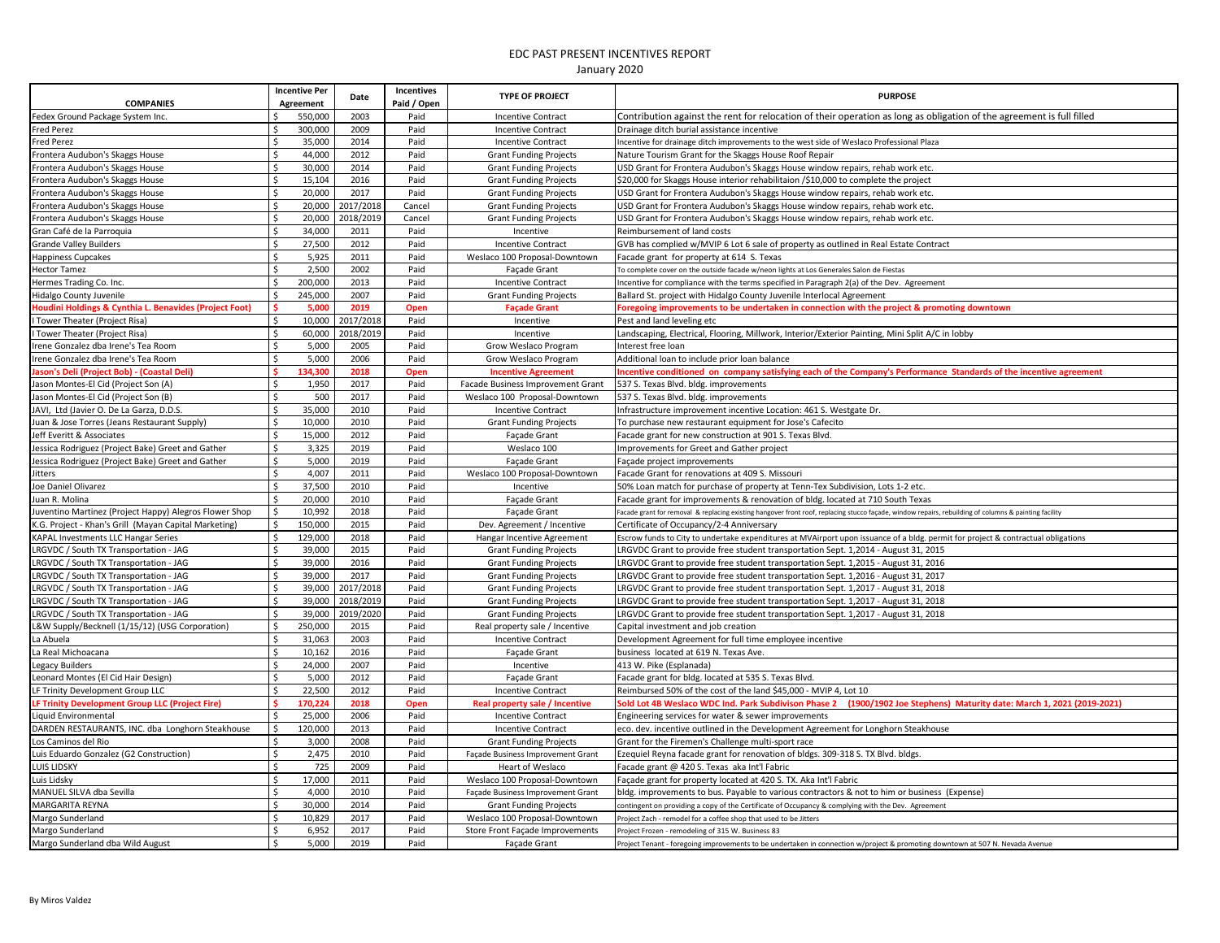| Fedex Ground Package System Inc.<br>550,000<br>2003<br>Paid<br>Contribution against the rent for relocation of their operation as long as obligation of the agreement is full filled<br><b>Incentive Contract</b><br>300,000<br>2009<br><b>Fred Perez</b><br>Paid<br><b>Incentive Contract</b><br>Drainage ditch burial assistance incentive<br>35,000<br>2014<br><b>Fred Perez</b><br>Ŝ.<br>Paid<br><b>Incentive Contract</b><br>Incentive for drainage ditch improvements to the west side of Weslaco Professional Plaza<br>\$<br>44,000<br>Frontera Audubon's Skaggs House<br>2012<br>Paid<br><b>Grant Funding Projects</b><br>Nature Tourism Grant for the Skaggs House Roof Repair<br>30,000<br>2014<br>\$<br>Paid<br>USD Grant for Frontera Audubon's Skaggs House window repairs, rehab work etc.<br>Frontera Audubon's Skaggs House<br><b>Grant Funding Projects</b><br>\$<br>15,104<br>Frontera Audubon's Skaggs House<br>2016<br>Paid<br>\$20,000 for Skaggs House interior rehabilitaion /\$10,000 to complete the project<br><b>Grant Funding Projects</b><br>Ś<br>20,000<br>2017<br>Paid<br>Frontera Audubon's Skaggs House<br><b>Grant Funding Projects</b><br>USD Grant for Frontera Audubon's Skaggs House window repairs, rehab work etc.<br>Ś<br>2017/2018<br>20,000<br>Frontera Audubon's Skaggs House<br>Cancel<br>USD Grant for Frontera Audubon's Skaggs House window repairs, rehab work etc.<br><b>Grant Funding Projects</b><br>Ś<br>20,000<br>2018/2019<br>Frontera Audubon's Skaggs House<br>Cancel<br><b>Grant Funding Projects</b><br>USD Grant for Frontera Audubon's Skaggs House window repairs, rehab work etc.<br>Ś<br>34,000<br>Gran Café de la Parroquia<br>2011<br>Paid<br>Reimbursement of land costs<br>Incentive<br>Ś<br><b>Grande Valley Builders</b><br>27,500<br>2012<br>Paid<br>GVB has complied w/MVIP 6 Lot 6 sale of property as outlined in Real Estate Contract<br><b>Incentive Contract</b><br>\$<br>5,925<br>2011<br>Happiness Cupcakes<br>Paid<br>Weslaco 100 Proposal-Downtown<br>Facade grant for property at 614 S. Texas<br>\$<br>2,500<br>2002<br>Paid<br><b>Hector Tamez</b><br>Façade Grant<br>To complete cover on the outside facade w/neon lights at Los Generales Salon de Fiestas<br>\$<br>200,000<br>2013<br>Paid<br>Hermes Trading Co. Inc.<br><b>Incentive Contract</b><br>Incentive for compliance with the terms specified in Paragraph 2(a) of the Dev. Agreement<br>245,000<br>2007<br>Paid<br>Hidalgo County Juvenile<br><b>Grant Funding Projects</b><br>Ballard St. project with Hidalgo County Juvenile Interlocal Agreement<br>5,000<br>Houdini Holdings & Cynthia L. Benavides (Project Foot)<br>2019<br>Open<br><b>Façade Grant</b><br>Foregoing improvements to be undertaken in connection with the project & promoting downtown<br>10,000<br>2017/2018<br>I Tower Theater (Project Risa)<br>\$<br>Paid<br>Incentive<br>Pest and land leveling etc<br>$\mathsf{\$}$<br>60,000<br>2018/2019<br>Paid<br>I Tower Theater (Project Risa)<br>Landscaping, Electrical, Flooring, Millwork, Interior/Exterior Painting, Mini Split A/C in lobby<br>Incentive<br>Ś<br>5,000<br>2005<br>Paid<br>Irene Gonzalez dba Irene's Tea Room<br>Grow Weslaco Program<br>Interest free loan<br>\$<br>5,000<br>2006<br>Paid<br>Additional loan to include prior loan balance<br>Irene Gonzalez dba Irene's Tea Room<br>Grow Weslaco Program<br><b>Jason's Deli (Project Bob) - (Coastal Deli)</b><br>134,300<br>2018<br>ncentive conditioned on company satisfying each of the Company's Performance Standards of the incentive agreement<br>Open<br><b>Incentive Agreement</b><br>1,950<br>2017<br>Jason Montes-El Cid (Project Son (A)<br>l \$<br>Paid<br>Facade Business Improvement Grant<br>537 S. Texas Blvd. bldg. improvements<br>Ś<br>500<br>2017<br>Jason Montes-El Cid (Project Son (B)<br>Paid<br>Weslaco 100 Proposal-Downtown<br>537 S. Texas Blvd. bldg. improvements<br>35,000<br>$\mathsf{\$}$<br>2010<br>Paid<br>JAVI, Ltd (Javier O. De La Garza, D.D.S.<br><b>Incentive Contract</b><br>Infrastructure improvement incentive Location: 461 S. Westgate Dr.<br>S,<br>10,000<br>2010<br>Paid<br>Juan & Jose Torres (Jeans Restaurant Supply)<br><b>Grant Funding Projects</b><br>To purchase new restaurant equipment for Jose's Cafecito<br>l \$<br>Jeff Everitt & Associates<br>15,000<br>2012<br>Paid<br>Façade Grant<br>Facade grant for new construction at 901 S. Texas Blvd.<br>$\mathsf{\$}$<br>3,325<br>Jessica Rodriguez (Project Bake) Greet and Gather<br>2019<br>Paid<br>Weslaco 100<br>Improvements for Greet and Gather project<br>$\frac{1}{2}$<br>5,000<br>2019<br>Jessica Rodriguez (Project Bake) Greet and Gather<br>Paid<br>Façade Grant<br>Façade project improvements<br>\$<br>4,007<br>2011<br>Paid<br>Weslaco 100 Proposal-Downtown<br>Facade Grant for renovations at 409 S. Missouri<br>Jitters<br>$\sqrt{5}$<br>37,500<br>2010<br>Joe Daniel Olivarez<br>Paid<br>50% Loan match for purchase of property at Tenn-Tex Subdivision, Lots 1-2 etc.<br>Incentive<br>Ŝ.<br>20,000<br>2010<br>Paid<br>Juan R. Molina<br>Façade Grant<br>Facade grant for improvements & renovation of bldg. located at 710 South Texas<br>l \$<br>10,992<br>2018<br>Paid<br>Juventino Martinez (Project Happy) Alegros Flower Shop<br>Façade Grant<br>Facade grant for removal & replacing existing hangover front roof, replacing stucco façade, window repairs, rebuilding of columns & painting facility<br>\$<br>K.G. Project - Khan's Grill (Mayan Capital Marketing)<br>150,000<br>2015<br>Paid<br>Dev. Agreement / Incentive<br>Certificate of Occupancy/2-4 Anniversary<br>\$<br>KAPAL Investments LLC Hangar Series<br>129,000<br>2018<br>Paid<br>Hangar Incentive Agreement<br>Escrow funds to City to undertake expenditures at MVAirport upon issuance of a bldg. permit for project & contractual obligations<br>Ś.<br>39,000<br>2015<br>LRGVDC / South TX Transportation - JAG<br>Paid<br><b>Grant Funding Projects</b><br>LRGVDC Grant to provide free student transportation Sept. 1,2014 - August 31, 2015<br>l\$<br>39,000<br>2016<br>Paid<br>LRGVDC / South TX Transportation - JAG<br><b>Grant Funding Projects</b><br>LRGVDC Grant to provide free student transportation Sept. 1,2015 - August 31, 2016<br>Ŝ.<br>LRGVDC / South TX Transportation - JAG<br>39,000<br>2017<br>Paid<br>LRGVDC Grant to provide free student transportation Sept. 1,2016 - August 31, 2017<br><b>Grant Funding Projects</b><br>LRGVDC / South TX Transportation - JAG<br>\$<br>39,000<br>2017/2018<br>Paid<br>LRGVDC Grant to provide free student transportation Sept. 1,2017 - August 31, 2018<br><b>Grant Funding Projects</b><br>$\mathsf{s}$<br>LRGVDC / South TX Transportation - JAG<br>39,000<br>2018/2019<br>Paid<br>LRGVDC Grant to provide free student transportation Sept. 1,2017 - August 31, 2018<br><b>Grant Funding Projects</b><br>LRGVDC / South TX Transportation - JAG<br>\$<br>39,000<br>2019/2020<br>Paid<br><b>Grant Funding Projects</b><br>LRGVDC Grant to provide free student transportation Sept. 1,2017 - August 31, 2018<br>$\mathsf{\$}$<br>250,000<br>2015<br>L&W Supply/Becknell (1/15/12) (USG Corporation)<br>Paid<br>Real property sale / Incentive<br>Capital investment and job creation<br>\$<br>31,063<br>2003<br>La Abuela<br>Paid<br><b>Incentive Contract</b><br>Development Agreement for full time employee incentive<br>$\mathsf{\$}$<br>10,162<br>2016<br>Paid<br>La Real Michoacana<br>Façade Grant<br>business located at 619 N. Texas Ave.<br>$\mathsf{\$}$<br>24,000<br>2007<br>Paid<br><b>Legacy Builders</b><br>Incentive<br>413 W. Pike (Esplanada)<br>$\mathsf{\hat{S}}$<br>5,000<br>2012<br>Leonard Montes (El Cid Hair Design)<br>Paid<br><b>Facade Grant</b><br>Facade grant for bldg. located at 535 S. Texas Blvd.<br>$\mathsf{\$}$<br>LF Trinity Development Group LLC<br>22,500<br>2012<br>Paid<br>Reimbursed 50% of the cost of the land \$45,000 - MVIP 4, Lot 10<br><b>Incentive Contract</b><br>Ś<br>170,224<br>2018<br>Old Lot 4B Weslaco WDC Ind. Park Subdivison Phase 2 (1900/1902 Joe Stephens) Maturity date: March 1, 2021 (2019-2021)<br>LF Trinity Development Group LLC (Project Fire)<br>Open<br>Real property sale / Incentive<br>\$<br>25,000<br>2006<br>Liquid Environmental<br>Paid<br><b>Incentive Contract</b><br>Engineering services for water & sewer improvements<br>\$<br>DARDEN RESTAURANTS, INC. dba Longhorn Steakhouse<br>120,000<br>2013<br>Paid<br><b>Incentive Contract</b><br>eco. dev. incentive outlined in the Development Agreement for Longhorn Steakhouse<br>2008<br>\$<br>3,000<br>Los Caminos del Rio<br>Paid<br><b>Grant Funding Projects</b><br>Grant for the Firemen's Challenge multi-sport race<br>$\mathsf{\hat{S}}$<br>2,475<br>2010<br>Luis Eduardo Gonzalez (G2 Construction)<br>Paid<br>Ezequiel Reyna facade grant for renovation of bldgs. 309-318 S. TX Blvd. bldgs<br>Façade Business Improvement Grant<br>\$<br>725<br>2009<br>Paid<br><b>LUIS LIDSKY</b><br>Heart of Weslaco<br>Facade grant @ 420 S. Texas aka Int'l Fabric<br>\$<br>17,000<br>2011<br>Paid<br>Weslaco 100 Proposal-Downtown<br>Luis Lidsky<br>Façade grant for property located at 420 S. TX. Aka Int'l Fabric<br>Ś<br>4,000<br>2010<br>MANUEL SILVA dba Sevilla<br>Paid<br>Façade Business Improvement Grant<br>bldg. improvements to bus. Payable to various contractors & not to him or business (Expense)<br>Ś<br>MARGARITA REYNA<br>30,000<br>Paid<br>2014<br><b>Grant Funding Projects</b><br>contingent on providing a copy of the Certificate of Occupancy & complying with the Dev. Agreement<br>10,829<br>2017<br>Paid<br>Margo Sunderland<br>Weslaco 100 Proposal-Downtown<br>Project Zach - remodel for a coffee shop that used to be Jitters<br>Ś<br>6,952<br>Margo Sunderland<br>2017<br>Paid<br>Store Front Façade Improvements<br>Project Frozen - remodeling of 315 W. Business 83<br>Ś<br>5,000<br>2019<br>Margo Sunderland dba Wild August<br>Paid<br>Façade Grant<br>Project Tenant - foregoing improvements to be undertaken in connection w/project & promoting downtown at 507 N. Nevada Avenue | <b>COMPANIES</b> | <b>Incentive Per</b><br>Agreement | Date | Incentives<br>Paid / Open | <b>TYPE OF PROJECT</b> | <b>PURPOSE</b> |
|----------------------------------------------------------------------------------------------------------------------------------------------------------------------------------------------------------------------------------------------------------------------------------------------------------------------------------------------------------------------------------------------------------------------------------------------------------------------------------------------------------------------------------------------------------------------------------------------------------------------------------------------------------------------------------------------------------------------------------------------------------------------------------------------------------------------------------------------------------------------------------------------------------------------------------------------------------------------------------------------------------------------------------------------------------------------------------------------------------------------------------------------------------------------------------------------------------------------------------------------------------------------------------------------------------------------------------------------------------------------------------------------------------------------------------------------------------------------------------------------------------------------------------------------------------------------------------------------------------------------------------------------------------------------------------------------------------------------------------------------------------------------------------------------------------------------------------------------------------------------------------------------------------------------------------------------------------------------------------------------------------------------------------------------------------------------------------------------------------------------------------------------------------------------------------------------------------------------------------------------------------------------------------------------------------------------------------------------------------------------------------------------------------------------------------------------------------------------------------------------------------------------------------------------------------------------------------------------------------------------------------------------------------------------------------------------------------------------------------------------------------------------------------------------------------------------------------------------------------------------------------------------------------------------------------------------------------------------------------------------------------------------------------------------------------------------------------------------------------------------------------------------------------------------------------------------------------------------------------------------------------------------------------------------------------------------------------------------------------------------------------------------------------------------------------------------------------------------------------------------------------------------------------------------------------------------------------------------------------------------------------------------------------------------------------------------------------------------------------------------------------------------------------------------------------------------------------------------------------------------------------------------------------------------------------------------------------------------------------------------------------------------------------------------------------------------------------------------------------------------------------------------------------------------------------------------------------------------------------------------------------------------------------------------------------------------------------------------------------------------------------------------------------------------------------------------------------------------------------------------------------------------------------------------------------------------------------------------------------------------------------------------------------------------------------------------------------------------------------------------------------------------------------------------------------------------------------------------------------------------------------------------------------------------------------------------------------------------------------------------------------------------------------------------------------------------------------------------------------------------------------------------------------------------------------------------------------------------------------------------------------------------------------------------------------------------------------------------------------------------------------------------------------------------------------------------------------------------------------------------------------------------------------------------------------------------------------------------------------------------------------------------------------------------------------------------------------------------------------------------------------------------------------------------------------------------------------------------------------------------------------------------------------------------------------------------------------------------------------------------------------------------------------------------------------------------------------------------------------------------------------------------------------------------------------------------------------------------------------------------------------------------------------------------------------------------------------------------------------------------------------------------------------------------------------------------------------------------------------------------------------------------------------------------------------------------------------------------------------------------------------------------------------------------------------------------------------------------------------------------------------------------------------------------------------------------------------------------------------------------------------------------------------------------------------------------------------------------------------------------------------------------------------------------------------------------------------------------------------------------------------------------------------------------------------------------------------------------------------------------------------------------------------------------------------------------------------------------------------------------------------------------------------------------------------------------------------------------------------------------------------------------------------------------------------------------------------------------------------------------------------------------------------------------------------------------------------------------------------------------------------------------------------------------------------------------------------------------------------------------------------------------------------------------------------------------------------------------------------------------------------------------------------------------------------------------------------------------------------------------------------------------------------------------------------------------------------------------------------------------------------------------------------------------------------------------------------------------------------------------------------------------------------------------------------------------------------------------------------------------------------------------------------------------------------------------------------------------------------------------------------------------------------------------------------------------------------------------------------------------------------------------------------------------------------------------------------------------------------------------------------------------------------------------------------------------------------------------------------------------------------------------------------------------------------------------------------------------------------------------------------------------------------------------------------------------------------------------------------------------------------------------------------------------------------------------------------------------------------------------------------------------------------------------------------------------------------------------------------------------------------------------------------------------------------------------------------------------------------------------------------------------------------------------------------------------------------------------------------------------------------------------------------------------------------------------------------------------------------------------------------------------------------------------------------------------------------------------------------------------------------------------------------------------------------------------------------------------------------------------------------------------------------------------------------------------------------|------------------|-----------------------------------|------|---------------------------|------------------------|----------------|
|                                                                                                                                                                                                                                                                                                                                                                                                                                                                                                                                                                                                                                                                                                                                                                                                                                                                                                                                                                                                                                                                                                                                                                                                                                                                                                                                                                                                                                                                                                                                                                                                                                                                                                                                                                                                                                                                                                                                                                                                                                                                                                                                                                                                                                                                                                                                                                                                                                                                                                                                                                                                                                                                                                                                                                                                                                                                                                                                                                                                                                                                                                                                                                                                                                                                                                                                                                                                                                                                                                                                                                                                                                                                                                                                                                                                                                                                                                                                                                                                                                                                                                                                                                                                                                                                                                                                                                                                                                                                                                                                                                                                                                                                                                                                                                                                                                                                                                                                                                                                                                                                                                                                                                                                                                                                                                                                                                                                                                                                                                                                                                                                                                                                                                                                                                                                                                                                                                                                                                                                                                                                                                                                                                                                                                                                                                                                                                                                                                                                                                                                                                                                                                                                                                                                                                                                                                                                                                                                                                                                                                                                                                                                                                                                                                                                                                                                                                                                                                                                                                                                                                                                                                                                                                                                                                                                                                                                                                                                                                                                                                                                                                                                                                                                                                                                                                                                                                                                                                                                                                                                                                                                                                                                                                                                                                                                                                                                                                                                                                                                                                                                                                                                                                                                                                                                                                                                                                                                                                                                                                                                                                                                                                                                                                                                                                                                                                                                                                                                                                                                                                                                                                                                                                                                          |                  |                                   |      |                           |                        |                |
|                                                                                                                                                                                                                                                                                                                                                                                                                                                                                                                                                                                                                                                                                                                                                                                                                                                                                                                                                                                                                                                                                                                                                                                                                                                                                                                                                                                                                                                                                                                                                                                                                                                                                                                                                                                                                                                                                                                                                                                                                                                                                                                                                                                                                                                                                                                                                                                                                                                                                                                                                                                                                                                                                                                                                                                                                                                                                                                                                                                                                                                                                                                                                                                                                                                                                                                                                                                                                                                                                                                                                                                                                                                                                                                                                                                                                                                                                                                                                                                                                                                                                                                                                                                                                                                                                                                                                                                                                                                                                                                                                                                                                                                                                                                                                                                                                                                                                                                                                                                                                                                                                                                                                                                                                                                                                                                                                                                                                                                                                                                                                                                                                                                                                                                                                                                                                                                                                                                                                                                                                                                                                                                                                                                                                                                                                                                                                                                                                                                                                                                                                                                                                                                                                                                                                                                                                                                                                                                                                                                                                                                                                                                                                                                                                                                                                                                                                                                                                                                                                                                                                                                                                                                                                                                                                                                                                                                                                                                                                                                                                                                                                                                                                                                                                                                                                                                                                                                                                                                                                                                                                                                                                                                                                                                                                                                                                                                                                                                                                                                                                                                                                                                                                                                                                                                                                                                                                                                                                                                                                                                                                                                                                                                                                                                                                                                                                                                                                                                                                                                                                                                                                                                                                                                                          |                  |                                   |      |                           |                        |                |
|                                                                                                                                                                                                                                                                                                                                                                                                                                                                                                                                                                                                                                                                                                                                                                                                                                                                                                                                                                                                                                                                                                                                                                                                                                                                                                                                                                                                                                                                                                                                                                                                                                                                                                                                                                                                                                                                                                                                                                                                                                                                                                                                                                                                                                                                                                                                                                                                                                                                                                                                                                                                                                                                                                                                                                                                                                                                                                                                                                                                                                                                                                                                                                                                                                                                                                                                                                                                                                                                                                                                                                                                                                                                                                                                                                                                                                                                                                                                                                                                                                                                                                                                                                                                                                                                                                                                                                                                                                                                                                                                                                                                                                                                                                                                                                                                                                                                                                                                                                                                                                                                                                                                                                                                                                                                                                                                                                                                                                                                                                                                                                                                                                                                                                                                                                                                                                                                                                                                                                                                                                                                                                                                                                                                                                                                                                                                                                                                                                                                                                                                                                                                                                                                                                                                                                                                                                                                                                                                                                                                                                                                                                                                                                                                                                                                                                                                                                                                                                                                                                                                                                                                                                                                                                                                                                                                                                                                                                                                                                                                                                                                                                                                                                                                                                                                                                                                                                                                                                                                                                                                                                                                                                                                                                                                                                                                                                                                                                                                                                                                                                                                                                                                                                                                                                                                                                                                                                                                                                                                                                                                                                                                                                                                                                                                                                                                                                                                                                                                                                                                                                                                                                                                                                                                          |                  |                                   |      |                           |                        |                |
|                                                                                                                                                                                                                                                                                                                                                                                                                                                                                                                                                                                                                                                                                                                                                                                                                                                                                                                                                                                                                                                                                                                                                                                                                                                                                                                                                                                                                                                                                                                                                                                                                                                                                                                                                                                                                                                                                                                                                                                                                                                                                                                                                                                                                                                                                                                                                                                                                                                                                                                                                                                                                                                                                                                                                                                                                                                                                                                                                                                                                                                                                                                                                                                                                                                                                                                                                                                                                                                                                                                                                                                                                                                                                                                                                                                                                                                                                                                                                                                                                                                                                                                                                                                                                                                                                                                                                                                                                                                                                                                                                                                                                                                                                                                                                                                                                                                                                                                                                                                                                                                                                                                                                                                                                                                                                                                                                                                                                                                                                                                                                                                                                                                                                                                                                                                                                                                                                                                                                                                                                                                                                                                                                                                                                                                                                                                                                                                                                                                                                                                                                                                                                                                                                                                                                                                                                                                                                                                                                                                                                                                                                                                                                                                                                                                                                                                                                                                                                                                                                                                                                                                                                                                                                                                                                                                                                                                                                                                                                                                                                                                                                                                                                                                                                                                                                                                                                                                                                                                                                                                                                                                                                                                                                                                                                                                                                                                                                                                                                                                                                                                                                                                                                                                                                                                                                                                                                                                                                                                                                                                                                                                                                                                                                                                                                                                                                                                                                                                                                                                                                                                                                                                                                                                                          |                  |                                   |      |                           |                        |                |
|                                                                                                                                                                                                                                                                                                                                                                                                                                                                                                                                                                                                                                                                                                                                                                                                                                                                                                                                                                                                                                                                                                                                                                                                                                                                                                                                                                                                                                                                                                                                                                                                                                                                                                                                                                                                                                                                                                                                                                                                                                                                                                                                                                                                                                                                                                                                                                                                                                                                                                                                                                                                                                                                                                                                                                                                                                                                                                                                                                                                                                                                                                                                                                                                                                                                                                                                                                                                                                                                                                                                                                                                                                                                                                                                                                                                                                                                                                                                                                                                                                                                                                                                                                                                                                                                                                                                                                                                                                                                                                                                                                                                                                                                                                                                                                                                                                                                                                                                                                                                                                                                                                                                                                                                                                                                                                                                                                                                                                                                                                                                                                                                                                                                                                                                                                                                                                                                                                                                                                                                                                                                                                                                                                                                                                                                                                                                                                                                                                                                                                                                                                                                                                                                                                                                                                                                                                                                                                                                                                                                                                                                                                                                                                                                                                                                                                                                                                                                                                                                                                                                                                                                                                                                                                                                                                                                                                                                                                                                                                                                                                                                                                                                                                                                                                                                                                                                                                                                                                                                                                                                                                                                                                                                                                                                                                                                                                                                                                                                                                                                                                                                                                                                                                                                                                                                                                                                                                                                                                                                                                                                                                                                                                                                                                                                                                                                                                                                                                                                                                                                                                                                                                                                                                                                          |                  |                                   |      |                           |                        |                |
|                                                                                                                                                                                                                                                                                                                                                                                                                                                                                                                                                                                                                                                                                                                                                                                                                                                                                                                                                                                                                                                                                                                                                                                                                                                                                                                                                                                                                                                                                                                                                                                                                                                                                                                                                                                                                                                                                                                                                                                                                                                                                                                                                                                                                                                                                                                                                                                                                                                                                                                                                                                                                                                                                                                                                                                                                                                                                                                                                                                                                                                                                                                                                                                                                                                                                                                                                                                                                                                                                                                                                                                                                                                                                                                                                                                                                                                                                                                                                                                                                                                                                                                                                                                                                                                                                                                                                                                                                                                                                                                                                                                                                                                                                                                                                                                                                                                                                                                                                                                                                                                                                                                                                                                                                                                                                                                                                                                                                                                                                                                                                                                                                                                                                                                                                                                                                                                                                                                                                                                                                                                                                                                                                                                                                                                                                                                                                                                                                                                                                                                                                                                                                                                                                                                                                                                                                                                                                                                                                                                                                                                                                                                                                                                                                                                                                                                                                                                                                                                                                                                                                                                                                                                                                                                                                                                                                                                                                                                                                                                                                                                                                                                                                                                                                                                                                                                                                                                                                                                                                                                                                                                                                                                                                                                                                                                                                                                                                                                                                                                                                                                                                                                                                                                                                                                                                                                                                                                                                                                                                                                                                                                                                                                                                                                                                                                                                                                                                                                                                                                                                                                                                                                                                                                                          |                  |                                   |      |                           |                        |                |
|                                                                                                                                                                                                                                                                                                                                                                                                                                                                                                                                                                                                                                                                                                                                                                                                                                                                                                                                                                                                                                                                                                                                                                                                                                                                                                                                                                                                                                                                                                                                                                                                                                                                                                                                                                                                                                                                                                                                                                                                                                                                                                                                                                                                                                                                                                                                                                                                                                                                                                                                                                                                                                                                                                                                                                                                                                                                                                                                                                                                                                                                                                                                                                                                                                                                                                                                                                                                                                                                                                                                                                                                                                                                                                                                                                                                                                                                                                                                                                                                                                                                                                                                                                                                                                                                                                                                                                                                                                                                                                                                                                                                                                                                                                                                                                                                                                                                                                                                                                                                                                                                                                                                                                                                                                                                                                                                                                                                                                                                                                                                                                                                                                                                                                                                                                                                                                                                                                                                                                                                                                                                                                                                                                                                                                                                                                                                                                                                                                                                                                                                                                                                                                                                                                                                                                                                                                                                                                                                                                                                                                                                                                                                                                                                                                                                                                                                                                                                                                                                                                                                                                                                                                                                                                                                                                                                                                                                                                                                                                                                                                                                                                                                                                                                                                                                                                                                                                                                                                                                                                                                                                                                                                                                                                                                                                                                                                                                                                                                                                                                                                                                                                                                                                                                                                                                                                                                                                                                                                                                                                                                                                                                                                                                                                                                                                                                                                                                                                                                                                                                                                                                                                                                                                                                          |                  |                                   |      |                           |                        |                |
|                                                                                                                                                                                                                                                                                                                                                                                                                                                                                                                                                                                                                                                                                                                                                                                                                                                                                                                                                                                                                                                                                                                                                                                                                                                                                                                                                                                                                                                                                                                                                                                                                                                                                                                                                                                                                                                                                                                                                                                                                                                                                                                                                                                                                                                                                                                                                                                                                                                                                                                                                                                                                                                                                                                                                                                                                                                                                                                                                                                                                                                                                                                                                                                                                                                                                                                                                                                                                                                                                                                                                                                                                                                                                                                                                                                                                                                                                                                                                                                                                                                                                                                                                                                                                                                                                                                                                                                                                                                                                                                                                                                                                                                                                                                                                                                                                                                                                                                                                                                                                                                                                                                                                                                                                                                                                                                                                                                                                                                                                                                                                                                                                                                                                                                                                                                                                                                                                                                                                                                                                                                                                                                                                                                                                                                                                                                                                                                                                                                                                                                                                                                                                                                                                                                                                                                                                                                                                                                                                                                                                                                                                                                                                                                                                                                                                                                                                                                                                                                                                                                                                                                                                                                                                                                                                                                                                                                                                                                                                                                                                                                                                                                                                                                                                                                                                                                                                                                                                                                                                                                                                                                                                                                                                                                                                                                                                                                                                                                                                                                                                                                                                                                                                                                                                                                                                                                                                                                                                                                                                                                                                                                                                                                                                                                                                                                                                                                                                                                                                                                                                                                                                                                                                                                                          |                  |                                   |      |                           |                        |                |
|                                                                                                                                                                                                                                                                                                                                                                                                                                                                                                                                                                                                                                                                                                                                                                                                                                                                                                                                                                                                                                                                                                                                                                                                                                                                                                                                                                                                                                                                                                                                                                                                                                                                                                                                                                                                                                                                                                                                                                                                                                                                                                                                                                                                                                                                                                                                                                                                                                                                                                                                                                                                                                                                                                                                                                                                                                                                                                                                                                                                                                                                                                                                                                                                                                                                                                                                                                                                                                                                                                                                                                                                                                                                                                                                                                                                                                                                                                                                                                                                                                                                                                                                                                                                                                                                                                                                                                                                                                                                                                                                                                                                                                                                                                                                                                                                                                                                                                                                                                                                                                                                                                                                                                                                                                                                                                                                                                                                                                                                                                                                                                                                                                                                                                                                                                                                                                                                                                                                                                                                                                                                                                                                                                                                                                                                                                                                                                                                                                                                                                                                                                                                                                                                                                                                                                                                                                                                                                                                                                                                                                                                                                                                                                                                                                                                                                                                                                                                                                                                                                                                                                                                                                                                                                                                                                                                                                                                                                                                                                                                                                                                                                                                                                                                                                                                                                                                                                                                                                                                                                                                                                                                                                                                                                                                                                                                                                                                                                                                                                                                                                                                                                                                                                                                                                                                                                                                                                                                                                                                                                                                                                                                                                                                                                                                                                                                                                                                                                                                                                                                                                                                                                                                                                                                          |                  |                                   |      |                           |                        |                |
|                                                                                                                                                                                                                                                                                                                                                                                                                                                                                                                                                                                                                                                                                                                                                                                                                                                                                                                                                                                                                                                                                                                                                                                                                                                                                                                                                                                                                                                                                                                                                                                                                                                                                                                                                                                                                                                                                                                                                                                                                                                                                                                                                                                                                                                                                                                                                                                                                                                                                                                                                                                                                                                                                                                                                                                                                                                                                                                                                                                                                                                                                                                                                                                                                                                                                                                                                                                                                                                                                                                                                                                                                                                                                                                                                                                                                                                                                                                                                                                                                                                                                                                                                                                                                                                                                                                                                                                                                                                                                                                                                                                                                                                                                                                                                                                                                                                                                                                                                                                                                                                                                                                                                                                                                                                                                                                                                                                                                                                                                                                                                                                                                                                                                                                                                                                                                                                                                                                                                                                                                                                                                                                                                                                                                                                                                                                                                                                                                                                                                                                                                                                                                                                                                                                                                                                                                                                                                                                                                                                                                                                                                                                                                                                                                                                                                                                                                                                                                                                                                                                                                                                                                                                                                                                                                                                                                                                                                                                                                                                                                                                                                                                                                                                                                                                                                                                                                                                                                                                                                                                                                                                                                                                                                                                                                                                                                                                                                                                                                                                                                                                                                                                                                                                                                                                                                                                                                                                                                                                                                                                                                                                                                                                                                                                                                                                                                                                                                                                                                                                                                                                                                                                                                                                                          |                  |                                   |      |                           |                        |                |
|                                                                                                                                                                                                                                                                                                                                                                                                                                                                                                                                                                                                                                                                                                                                                                                                                                                                                                                                                                                                                                                                                                                                                                                                                                                                                                                                                                                                                                                                                                                                                                                                                                                                                                                                                                                                                                                                                                                                                                                                                                                                                                                                                                                                                                                                                                                                                                                                                                                                                                                                                                                                                                                                                                                                                                                                                                                                                                                                                                                                                                                                                                                                                                                                                                                                                                                                                                                                                                                                                                                                                                                                                                                                                                                                                                                                                                                                                                                                                                                                                                                                                                                                                                                                                                                                                                                                                                                                                                                                                                                                                                                                                                                                                                                                                                                                                                                                                                                                                                                                                                                                                                                                                                                                                                                                                                                                                                                                                                                                                                                                                                                                                                                                                                                                                                                                                                                                                                                                                                                                                                                                                                                                                                                                                                                                                                                                                                                                                                                                                                                                                                                                                                                                                                                                                                                                                                                                                                                                                                                                                                                                                                                                                                                                                                                                                                                                                                                                                                                                                                                                                                                                                                                                                                                                                                                                                                                                                                                                                                                                                                                                                                                                                                                                                                                                                                                                                                                                                                                                                                                                                                                                                                                                                                                                                                                                                                                                                                                                                                                                                                                                                                                                                                                                                                                                                                                                                                                                                                                                                                                                                                                                                                                                                                                                                                                                                                                                                                                                                                                                                                                                                                                                                                                                          |                  |                                   |      |                           |                        |                |
|                                                                                                                                                                                                                                                                                                                                                                                                                                                                                                                                                                                                                                                                                                                                                                                                                                                                                                                                                                                                                                                                                                                                                                                                                                                                                                                                                                                                                                                                                                                                                                                                                                                                                                                                                                                                                                                                                                                                                                                                                                                                                                                                                                                                                                                                                                                                                                                                                                                                                                                                                                                                                                                                                                                                                                                                                                                                                                                                                                                                                                                                                                                                                                                                                                                                                                                                                                                                                                                                                                                                                                                                                                                                                                                                                                                                                                                                                                                                                                                                                                                                                                                                                                                                                                                                                                                                                                                                                                                                                                                                                                                                                                                                                                                                                                                                                                                                                                                                                                                                                                                                                                                                                                                                                                                                                                                                                                                                                                                                                                                                                                                                                                                                                                                                                                                                                                                                                                                                                                                                                                                                                                                                                                                                                                                                                                                                                                                                                                                                                                                                                                                                                                                                                                                                                                                                                                                                                                                                                                                                                                                                                                                                                                                                                                                                                                                                                                                                                                                                                                                                                                                                                                                                                                                                                                                                                                                                                                                                                                                                                                                                                                                                                                                                                                                                                                                                                                                                                                                                                                                                                                                                                                                                                                                                                                                                                                                                                                                                                                                                                                                                                                                                                                                                                                                                                                                                                                                                                                                                                                                                                                                                                                                                                                                                                                                                                                                                                                                                                                                                                                                                                                                                                                                                          |                  |                                   |      |                           |                        |                |
|                                                                                                                                                                                                                                                                                                                                                                                                                                                                                                                                                                                                                                                                                                                                                                                                                                                                                                                                                                                                                                                                                                                                                                                                                                                                                                                                                                                                                                                                                                                                                                                                                                                                                                                                                                                                                                                                                                                                                                                                                                                                                                                                                                                                                                                                                                                                                                                                                                                                                                                                                                                                                                                                                                                                                                                                                                                                                                                                                                                                                                                                                                                                                                                                                                                                                                                                                                                                                                                                                                                                                                                                                                                                                                                                                                                                                                                                                                                                                                                                                                                                                                                                                                                                                                                                                                                                                                                                                                                                                                                                                                                                                                                                                                                                                                                                                                                                                                                                                                                                                                                                                                                                                                                                                                                                                                                                                                                                                                                                                                                                                                                                                                                                                                                                                                                                                                                                                                                                                                                                                                                                                                                                                                                                                                                                                                                                                                                                                                                                                                                                                                                                                                                                                                                                                                                                                                                                                                                                                                                                                                                                                                                                                                                                                                                                                                                                                                                                                                                                                                                                                                                                                                                                                                                                                                                                                                                                                                                                                                                                                                                                                                                                                                                                                                                                                                                                                                                                                                                                                                                                                                                                                                                                                                                                                                                                                                                                                                                                                                                                                                                                                                                                                                                                                                                                                                                                                                                                                                                                                                                                                                                                                                                                                                                                                                                                                                                                                                                                                                                                                                                                                                                                                                                                          |                  |                                   |      |                           |                        |                |
|                                                                                                                                                                                                                                                                                                                                                                                                                                                                                                                                                                                                                                                                                                                                                                                                                                                                                                                                                                                                                                                                                                                                                                                                                                                                                                                                                                                                                                                                                                                                                                                                                                                                                                                                                                                                                                                                                                                                                                                                                                                                                                                                                                                                                                                                                                                                                                                                                                                                                                                                                                                                                                                                                                                                                                                                                                                                                                                                                                                                                                                                                                                                                                                                                                                                                                                                                                                                                                                                                                                                                                                                                                                                                                                                                                                                                                                                                                                                                                                                                                                                                                                                                                                                                                                                                                                                                                                                                                                                                                                                                                                                                                                                                                                                                                                                                                                                                                                                                                                                                                                                                                                                                                                                                                                                                                                                                                                                                                                                                                                                                                                                                                                                                                                                                                                                                                                                                                                                                                                                                                                                                                                                                                                                                                                                                                                                                                                                                                                                                                                                                                                                                                                                                                                                                                                                                                                                                                                                                                                                                                                                                                                                                                                                                                                                                                                                                                                                                                                                                                                                                                                                                                                                                                                                                                                                                                                                                                                                                                                                                                                                                                                                                                                                                                                                                                                                                                                                                                                                                                                                                                                                                                                                                                                                                                                                                                                                                                                                                                                                                                                                                                                                                                                                                                                                                                                                                                                                                                                                                                                                                                                                                                                                                                                                                                                                                                                                                                                                                                                                                                                                                                                                                                                                          |                  |                                   |      |                           |                        |                |
|                                                                                                                                                                                                                                                                                                                                                                                                                                                                                                                                                                                                                                                                                                                                                                                                                                                                                                                                                                                                                                                                                                                                                                                                                                                                                                                                                                                                                                                                                                                                                                                                                                                                                                                                                                                                                                                                                                                                                                                                                                                                                                                                                                                                                                                                                                                                                                                                                                                                                                                                                                                                                                                                                                                                                                                                                                                                                                                                                                                                                                                                                                                                                                                                                                                                                                                                                                                                                                                                                                                                                                                                                                                                                                                                                                                                                                                                                                                                                                                                                                                                                                                                                                                                                                                                                                                                                                                                                                                                                                                                                                                                                                                                                                                                                                                                                                                                                                                                                                                                                                                                                                                                                                                                                                                                                                                                                                                                                                                                                                                                                                                                                                                                                                                                                                                                                                                                                                                                                                                                                                                                                                                                                                                                                                                                                                                                                                                                                                                                                                                                                                                                                                                                                                                                                                                                                                                                                                                                                                                                                                                                                                                                                                                                                                                                                                                                                                                                                                                                                                                                                                                                                                                                                                                                                                                                                                                                                                                                                                                                                                                                                                                                                                                                                                                                                                                                                                                                                                                                                                                                                                                                                                                                                                                                                                                                                                                                                                                                                                                                                                                                                                                                                                                                                                                                                                                                                                                                                                                                                                                                                                                                                                                                                                                                                                                                                                                                                                                                                                                                                                                                                                                                                                                                          |                  |                                   |      |                           |                        |                |
|                                                                                                                                                                                                                                                                                                                                                                                                                                                                                                                                                                                                                                                                                                                                                                                                                                                                                                                                                                                                                                                                                                                                                                                                                                                                                                                                                                                                                                                                                                                                                                                                                                                                                                                                                                                                                                                                                                                                                                                                                                                                                                                                                                                                                                                                                                                                                                                                                                                                                                                                                                                                                                                                                                                                                                                                                                                                                                                                                                                                                                                                                                                                                                                                                                                                                                                                                                                                                                                                                                                                                                                                                                                                                                                                                                                                                                                                                                                                                                                                                                                                                                                                                                                                                                                                                                                                                                                                                                                                                                                                                                                                                                                                                                                                                                                                                                                                                                                                                                                                                                                                                                                                                                                                                                                                                                                                                                                                                                                                                                                                                                                                                                                                                                                                                                                                                                                                                                                                                                                                                                                                                                                                                                                                                                                                                                                                                                                                                                                                                                                                                                                                                                                                                                                                                                                                                                                                                                                                                                                                                                                                                                                                                                                                                                                                                                                                                                                                                                                                                                                                                                                                                                                                                                                                                                                                                                                                                                                                                                                                                                                                                                                                                                                                                                                                                                                                                                                                                                                                                                                                                                                                                                                                                                                                                                                                                                                                                                                                                                                                                                                                                                                                                                                                                                                                                                                                                                                                                                                                                                                                                                                                                                                                                                                                                                                                                                                                                                                                                                                                                                                                                                                                                                                                          |                  |                                   |      |                           |                        |                |
|                                                                                                                                                                                                                                                                                                                                                                                                                                                                                                                                                                                                                                                                                                                                                                                                                                                                                                                                                                                                                                                                                                                                                                                                                                                                                                                                                                                                                                                                                                                                                                                                                                                                                                                                                                                                                                                                                                                                                                                                                                                                                                                                                                                                                                                                                                                                                                                                                                                                                                                                                                                                                                                                                                                                                                                                                                                                                                                                                                                                                                                                                                                                                                                                                                                                                                                                                                                                                                                                                                                                                                                                                                                                                                                                                                                                                                                                                                                                                                                                                                                                                                                                                                                                                                                                                                                                                                                                                                                                                                                                                                                                                                                                                                                                                                                                                                                                                                                                                                                                                                                                                                                                                                                                                                                                                                                                                                                                                                                                                                                                                                                                                                                                                                                                                                                                                                                                                                                                                                                                                                                                                                                                                                                                                                                                                                                                                                                                                                                                                                                                                                                                                                                                                                                                                                                                                                                                                                                                                                                                                                                                                                                                                                                                                                                                                                                                                                                                                                                                                                                                                                                                                                                                                                                                                                                                                                                                                                                                                                                                                                                                                                                                                                                                                                                                                                                                                                                                                                                                                                                                                                                                                                                                                                                                                                                                                                                                                                                                                                                                                                                                                                                                                                                                                                                                                                                                                                                                                                                                                                                                                                                                                                                                                                                                                                                                                                                                                                                                                                                                                                                                                                                                                                                                          |                  |                                   |      |                           |                        |                |
|                                                                                                                                                                                                                                                                                                                                                                                                                                                                                                                                                                                                                                                                                                                                                                                                                                                                                                                                                                                                                                                                                                                                                                                                                                                                                                                                                                                                                                                                                                                                                                                                                                                                                                                                                                                                                                                                                                                                                                                                                                                                                                                                                                                                                                                                                                                                                                                                                                                                                                                                                                                                                                                                                                                                                                                                                                                                                                                                                                                                                                                                                                                                                                                                                                                                                                                                                                                                                                                                                                                                                                                                                                                                                                                                                                                                                                                                                                                                                                                                                                                                                                                                                                                                                                                                                                                                                                                                                                                                                                                                                                                                                                                                                                                                                                                                                                                                                                                                                                                                                                                                                                                                                                                                                                                                                                                                                                                                                                                                                                                                                                                                                                                                                                                                                                                                                                                                                                                                                                                                                                                                                                                                                                                                                                                                                                                                                                                                                                                                                                                                                                                                                                                                                                                                                                                                                                                                                                                                                                                                                                                                                                                                                                                                                                                                                                                                                                                                                                                                                                                                                                                                                                                                                                                                                                                                                                                                                                                                                                                                                                                                                                                                                                                                                                                                                                                                                                                                                                                                                                                                                                                                                                                                                                                                                                                                                                                                                                                                                                                                                                                                                                                                                                                                                                                                                                                                                                                                                                                                                                                                                                                                                                                                                                                                                                                                                                                                                                                                                                                                                                                                                                                                                                                                          |                  |                                   |      |                           |                        |                |
|                                                                                                                                                                                                                                                                                                                                                                                                                                                                                                                                                                                                                                                                                                                                                                                                                                                                                                                                                                                                                                                                                                                                                                                                                                                                                                                                                                                                                                                                                                                                                                                                                                                                                                                                                                                                                                                                                                                                                                                                                                                                                                                                                                                                                                                                                                                                                                                                                                                                                                                                                                                                                                                                                                                                                                                                                                                                                                                                                                                                                                                                                                                                                                                                                                                                                                                                                                                                                                                                                                                                                                                                                                                                                                                                                                                                                                                                                                                                                                                                                                                                                                                                                                                                                                                                                                                                                                                                                                                                                                                                                                                                                                                                                                                                                                                                                                                                                                                                                                                                                                                                                                                                                                                                                                                                                                                                                                                                                                                                                                                                                                                                                                                                                                                                                                                                                                                                                                                                                                                                                                                                                                                                                                                                                                                                                                                                                                                                                                                                                                                                                                                                                                                                                                                                                                                                                                                                                                                                                                                                                                                                                                                                                                                                                                                                                                                                                                                                                                                                                                                                                                                                                                                                                                                                                                                                                                                                                                                                                                                                                                                                                                                                                                                                                                                                                                                                                                                                                                                                                                                                                                                                                                                                                                                                                                                                                                                                                                                                                                                                                                                                                                                                                                                                                                                                                                                                                                                                                                                                                                                                                                                                                                                                                                                                                                                                                                                                                                                                                                                                                                                                                                                                                                                                          |                  |                                   |      |                           |                        |                |
|                                                                                                                                                                                                                                                                                                                                                                                                                                                                                                                                                                                                                                                                                                                                                                                                                                                                                                                                                                                                                                                                                                                                                                                                                                                                                                                                                                                                                                                                                                                                                                                                                                                                                                                                                                                                                                                                                                                                                                                                                                                                                                                                                                                                                                                                                                                                                                                                                                                                                                                                                                                                                                                                                                                                                                                                                                                                                                                                                                                                                                                                                                                                                                                                                                                                                                                                                                                                                                                                                                                                                                                                                                                                                                                                                                                                                                                                                                                                                                                                                                                                                                                                                                                                                                                                                                                                                                                                                                                                                                                                                                                                                                                                                                                                                                                                                                                                                                                                                                                                                                                                                                                                                                                                                                                                                                                                                                                                                                                                                                                                                                                                                                                                                                                                                                                                                                                                                                                                                                                                                                                                                                                                                                                                                                                                                                                                                                                                                                                                                                                                                                                                                                                                                                                                                                                                                                                                                                                                                                                                                                                                                                                                                                                                                                                                                                                                                                                                                                                                                                                                                                                                                                                                                                                                                                                                                                                                                                                                                                                                                                                                                                                                                                                                                                                                                                                                                                                                                                                                                                                                                                                                                                                                                                                                                                                                                                                                                                                                                                                                                                                                                                                                                                                                                                                                                                                                                                                                                                                                                                                                                                                                                                                                                                                                                                                                                                                                                                                                                                                                                                                                                                                                                                                                          |                  |                                   |      |                           |                        |                |
|                                                                                                                                                                                                                                                                                                                                                                                                                                                                                                                                                                                                                                                                                                                                                                                                                                                                                                                                                                                                                                                                                                                                                                                                                                                                                                                                                                                                                                                                                                                                                                                                                                                                                                                                                                                                                                                                                                                                                                                                                                                                                                                                                                                                                                                                                                                                                                                                                                                                                                                                                                                                                                                                                                                                                                                                                                                                                                                                                                                                                                                                                                                                                                                                                                                                                                                                                                                                                                                                                                                                                                                                                                                                                                                                                                                                                                                                                                                                                                                                                                                                                                                                                                                                                                                                                                                                                                                                                                                                                                                                                                                                                                                                                                                                                                                                                                                                                                                                                                                                                                                                                                                                                                                                                                                                                                                                                                                                                                                                                                                                                                                                                                                                                                                                                                                                                                                                                                                                                                                                                                                                                                                                                                                                                                                                                                                                                                                                                                                                                                                                                                                                                                                                                                                                                                                                                                                                                                                                                                                                                                                                                                                                                                                                                                                                                                                                                                                                                                                                                                                                                                                                                                                                                                                                                                                                                                                                                                                                                                                                                                                                                                                                                                                                                                                                                                                                                                                                                                                                                                                                                                                                                                                                                                                                                                                                                                                                                                                                                                                                                                                                                                                                                                                                                                                                                                                                                                                                                                                                                                                                                                                                                                                                                                                                                                                                                                                                                                                                                                                                                                                                                                                                                                                                          |                  |                                   |      |                           |                        |                |
|                                                                                                                                                                                                                                                                                                                                                                                                                                                                                                                                                                                                                                                                                                                                                                                                                                                                                                                                                                                                                                                                                                                                                                                                                                                                                                                                                                                                                                                                                                                                                                                                                                                                                                                                                                                                                                                                                                                                                                                                                                                                                                                                                                                                                                                                                                                                                                                                                                                                                                                                                                                                                                                                                                                                                                                                                                                                                                                                                                                                                                                                                                                                                                                                                                                                                                                                                                                                                                                                                                                                                                                                                                                                                                                                                                                                                                                                                                                                                                                                                                                                                                                                                                                                                                                                                                                                                                                                                                                                                                                                                                                                                                                                                                                                                                                                                                                                                                                                                                                                                                                                                                                                                                                                                                                                                                                                                                                                                                                                                                                                                                                                                                                                                                                                                                                                                                                                                                                                                                                                                                                                                                                                                                                                                                                                                                                                                                                                                                                                                                                                                                                                                                                                                                                                                                                                                                                                                                                                                                                                                                                                                                                                                                                                                                                                                                                                                                                                                                                                                                                                                                                                                                                                                                                                                                                                                                                                                                                                                                                                                                                                                                                                                                                                                                                                                                                                                                                                                                                                                                                                                                                                                                                                                                                                                                                                                                                                                                                                                                                                                                                                                                                                                                                                                                                                                                                                                                                                                                                                                                                                                                                                                                                                                                                                                                                                                                                                                                                                                                                                                                                                                                                                                                                                          |                  |                                   |      |                           |                        |                |
|                                                                                                                                                                                                                                                                                                                                                                                                                                                                                                                                                                                                                                                                                                                                                                                                                                                                                                                                                                                                                                                                                                                                                                                                                                                                                                                                                                                                                                                                                                                                                                                                                                                                                                                                                                                                                                                                                                                                                                                                                                                                                                                                                                                                                                                                                                                                                                                                                                                                                                                                                                                                                                                                                                                                                                                                                                                                                                                                                                                                                                                                                                                                                                                                                                                                                                                                                                                                                                                                                                                                                                                                                                                                                                                                                                                                                                                                                                                                                                                                                                                                                                                                                                                                                                                                                                                                                                                                                                                                                                                                                                                                                                                                                                                                                                                                                                                                                                                                                                                                                                                                                                                                                                                                                                                                                                                                                                                                                                                                                                                                                                                                                                                                                                                                                                                                                                                                                                                                                                                                                                                                                                                                                                                                                                                                                                                                                                                                                                                                                                                                                                                                                                                                                                                                                                                                                                                                                                                                                                                                                                                                                                                                                                                                                                                                                                                                                                                                                                                                                                                                                                                                                                                                                                                                                                                                                                                                                                                                                                                                                                                                                                                                                                                                                                                                                                                                                                                                                                                                                                                                                                                                                                                                                                                                                                                                                                                                                                                                                                                                                                                                                                                                                                                                                                                                                                                                                                                                                                                                                                                                                                                                                                                                                                                                                                                                                                                                                                                                                                                                                                                                                                                                                                                                          |                  |                                   |      |                           |                        |                |
|                                                                                                                                                                                                                                                                                                                                                                                                                                                                                                                                                                                                                                                                                                                                                                                                                                                                                                                                                                                                                                                                                                                                                                                                                                                                                                                                                                                                                                                                                                                                                                                                                                                                                                                                                                                                                                                                                                                                                                                                                                                                                                                                                                                                                                                                                                                                                                                                                                                                                                                                                                                                                                                                                                                                                                                                                                                                                                                                                                                                                                                                                                                                                                                                                                                                                                                                                                                                                                                                                                                                                                                                                                                                                                                                                                                                                                                                                                                                                                                                                                                                                                                                                                                                                                                                                                                                                                                                                                                                                                                                                                                                                                                                                                                                                                                                                                                                                                                                                                                                                                                                                                                                                                                                                                                                                                                                                                                                                                                                                                                                                                                                                                                                                                                                                                                                                                                                                                                                                                                                                                                                                                                                                                                                                                                                                                                                                                                                                                                                                                                                                                                                                                                                                                                                                                                                                                                                                                                                                                                                                                                                                                                                                                                                                                                                                                                                                                                                                                                                                                                                                                                                                                                                                                                                                                                                                                                                                                                                                                                                                                                                                                                                                                                                                                                                                                                                                                                                                                                                                                                                                                                                                                                                                                                                                                                                                                                                                                                                                                                                                                                                                                                                                                                                                                                                                                                                                                                                                                                                                                                                                                                                                                                                                                                                                                                                                                                                                                                                                                                                                                                                                                                                                                                                          |                  |                                   |      |                           |                        |                |
|                                                                                                                                                                                                                                                                                                                                                                                                                                                                                                                                                                                                                                                                                                                                                                                                                                                                                                                                                                                                                                                                                                                                                                                                                                                                                                                                                                                                                                                                                                                                                                                                                                                                                                                                                                                                                                                                                                                                                                                                                                                                                                                                                                                                                                                                                                                                                                                                                                                                                                                                                                                                                                                                                                                                                                                                                                                                                                                                                                                                                                                                                                                                                                                                                                                                                                                                                                                                                                                                                                                                                                                                                                                                                                                                                                                                                                                                                                                                                                                                                                                                                                                                                                                                                                                                                                                                                                                                                                                                                                                                                                                                                                                                                                                                                                                                                                                                                                                                                                                                                                                                                                                                                                                                                                                                                                                                                                                                                                                                                                                                                                                                                                                                                                                                                                                                                                                                                                                                                                                                                                                                                                                                                                                                                                                                                                                                                                                                                                                                                                                                                                                                                                                                                                                                                                                                                                                                                                                                                                                                                                                                                                                                                                                                                                                                                                                                                                                                                                                                                                                                                                                                                                                                                                                                                                                                                                                                                                                                                                                                                                                                                                                                                                                                                                                                                                                                                                                                                                                                                                                                                                                                                                                                                                                                                                                                                                                                                                                                                                                                                                                                                                                                                                                                                                                                                                                                                                                                                                                                                                                                                                                                                                                                                                                                                                                                                                                                                                                                                                                                                                                                                                                                                                                                          |                  |                                   |      |                           |                        |                |
|                                                                                                                                                                                                                                                                                                                                                                                                                                                                                                                                                                                                                                                                                                                                                                                                                                                                                                                                                                                                                                                                                                                                                                                                                                                                                                                                                                                                                                                                                                                                                                                                                                                                                                                                                                                                                                                                                                                                                                                                                                                                                                                                                                                                                                                                                                                                                                                                                                                                                                                                                                                                                                                                                                                                                                                                                                                                                                                                                                                                                                                                                                                                                                                                                                                                                                                                                                                                                                                                                                                                                                                                                                                                                                                                                                                                                                                                                                                                                                                                                                                                                                                                                                                                                                                                                                                                                                                                                                                                                                                                                                                                                                                                                                                                                                                                                                                                                                                                                                                                                                                                                                                                                                                                                                                                                                                                                                                                                                                                                                                                                                                                                                                                                                                                                                                                                                                                                                                                                                                                                                                                                                                                                                                                                                                                                                                                                                                                                                                                                                                                                                                                                                                                                                                                                                                                                                                                                                                                                                                                                                                                                                                                                                                                                                                                                                                                                                                                                                                                                                                                                                                                                                                                                                                                                                                                                                                                                                                                                                                                                                                                                                                                                                                                                                                                                                                                                                                                                                                                                                                                                                                                                                                                                                                                                                                                                                                                                                                                                                                                                                                                                                                                                                                                                                                                                                                                                                                                                                                                                                                                                                                                                                                                                                                                                                                                                                                                                                                                                                                                                                                                                                                                                                                                          |                  |                                   |      |                           |                        |                |
|                                                                                                                                                                                                                                                                                                                                                                                                                                                                                                                                                                                                                                                                                                                                                                                                                                                                                                                                                                                                                                                                                                                                                                                                                                                                                                                                                                                                                                                                                                                                                                                                                                                                                                                                                                                                                                                                                                                                                                                                                                                                                                                                                                                                                                                                                                                                                                                                                                                                                                                                                                                                                                                                                                                                                                                                                                                                                                                                                                                                                                                                                                                                                                                                                                                                                                                                                                                                                                                                                                                                                                                                                                                                                                                                                                                                                                                                                                                                                                                                                                                                                                                                                                                                                                                                                                                                                                                                                                                                                                                                                                                                                                                                                                                                                                                                                                                                                                                                                                                                                                                                                                                                                                                                                                                                                                                                                                                                                                                                                                                                                                                                                                                                                                                                                                                                                                                                                                                                                                                                                                                                                                                                                                                                                                                                                                                                                                                                                                                                                                                                                                                                                                                                                                                                                                                                                                                                                                                                                                                                                                                                                                                                                                                                                                                                                                                                                                                                                                                                                                                                                                                                                                                                                                                                                                                                                                                                                                                                                                                                                                                                                                                                                                                                                                                                                                                                                                                                                                                                                                                                                                                                                                                                                                                                                                                                                                                                                                                                                                                                                                                                                                                                                                                                                                                                                                                                                                                                                                                                                                                                                                                                                                                                                                                                                                                                                                                                                                                                                                                                                                                                                                                                                                                                          |                  |                                   |      |                           |                        |                |
|                                                                                                                                                                                                                                                                                                                                                                                                                                                                                                                                                                                                                                                                                                                                                                                                                                                                                                                                                                                                                                                                                                                                                                                                                                                                                                                                                                                                                                                                                                                                                                                                                                                                                                                                                                                                                                                                                                                                                                                                                                                                                                                                                                                                                                                                                                                                                                                                                                                                                                                                                                                                                                                                                                                                                                                                                                                                                                                                                                                                                                                                                                                                                                                                                                                                                                                                                                                                                                                                                                                                                                                                                                                                                                                                                                                                                                                                                                                                                                                                                                                                                                                                                                                                                                                                                                                                                                                                                                                                                                                                                                                                                                                                                                                                                                                                                                                                                                                                                                                                                                                                                                                                                                                                                                                                                                                                                                                                                                                                                                                                                                                                                                                                                                                                                                                                                                                                                                                                                                                                                                                                                                                                                                                                                                                                                                                                                                                                                                                                                                                                                                                                                                                                                                                                                                                                                                                                                                                                                                                                                                                                                                                                                                                                                                                                                                                                                                                                                                                                                                                                                                                                                                                                                                                                                                                                                                                                                                                                                                                                                                                                                                                                                                                                                                                                                                                                                                                                                                                                                                                                                                                                                                                                                                                                                                                                                                                                                                                                                                                                                                                                                                                                                                                                                                                                                                                                                                                                                                                                                                                                                                                                                                                                                                                                                                                                                                                                                                                                                                                                                                                                                                                                                                                                          |                  |                                   |      |                           |                        |                |
|                                                                                                                                                                                                                                                                                                                                                                                                                                                                                                                                                                                                                                                                                                                                                                                                                                                                                                                                                                                                                                                                                                                                                                                                                                                                                                                                                                                                                                                                                                                                                                                                                                                                                                                                                                                                                                                                                                                                                                                                                                                                                                                                                                                                                                                                                                                                                                                                                                                                                                                                                                                                                                                                                                                                                                                                                                                                                                                                                                                                                                                                                                                                                                                                                                                                                                                                                                                                                                                                                                                                                                                                                                                                                                                                                                                                                                                                                                                                                                                                                                                                                                                                                                                                                                                                                                                                                                                                                                                                                                                                                                                                                                                                                                                                                                                                                                                                                                                                                                                                                                                                                                                                                                                                                                                                                                                                                                                                                                                                                                                                                                                                                                                                                                                                                                                                                                                                                                                                                                                                                                                                                                                                                                                                                                                                                                                                                                                                                                                                                                                                                                                                                                                                                                                                                                                                                                                                                                                                                                                                                                                                                                                                                                                                                                                                                                                                                                                                                                                                                                                                                                                                                                                                                                                                                                                                                                                                                                                                                                                                                                                                                                                                                                                                                                                                                                                                                                                                                                                                                                                                                                                                                                                                                                                                                                                                                                                                                                                                                                                                                                                                                                                                                                                                                                                                                                                                                                                                                                                                                                                                                                                                                                                                                                                                                                                                                                                                                                                                                                                                                                                                                                                                                                                                          |                  |                                   |      |                           |                        |                |
|                                                                                                                                                                                                                                                                                                                                                                                                                                                                                                                                                                                                                                                                                                                                                                                                                                                                                                                                                                                                                                                                                                                                                                                                                                                                                                                                                                                                                                                                                                                                                                                                                                                                                                                                                                                                                                                                                                                                                                                                                                                                                                                                                                                                                                                                                                                                                                                                                                                                                                                                                                                                                                                                                                                                                                                                                                                                                                                                                                                                                                                                                                                                                                                                                                                                                                                                                                                                                                                                                                                                                                                                                                                                                                                                                                                                                                                                                                                                                                                                                                                                                                                                                                                                                                                                                                                                                                                                                                                                                                                                                                                                                                                                                                                                                                                                                                                                                                                                                                                                                                                                                                                                                                                                                                                                                                                                                                                                                                                                                                                                                                                                                                                                                                                                                                                                                                                                                                                                                                                                                                                                                                                                                                                                                                                                                                                                                                                                                                                                                                                                                                                                                                                                                                                                                                                                                                                                                                                                                                                                                                                                                                                                                                                                                                                                                                                                                                                                                                                                                                                                                                                                                                                                                                                                                                                                                                                                                                                                                                                                                                                                                                                                                                                                                                                                                                                                                                                                                                                                                                                                                                                                                                                                                                                                                                                                                                                                                                                                                                                                                                                                                                                                                                                                                                                                                                                                                                                                                                                                                                                                                                                                                                                                                                                                                                                                                                                                                                                                                                                                                                                                                                                                                                                                          |                  |                                   |      |                           |                        |                |
|                                                                                                                                                                                                                                                                                                                                                                                                                                                                                                                                                                                                                                                                                                                                                                                                                                                                                                                                                                                                                                                                                                                                                                                                                                                                                                                                                                                                                                                                                                                                                                                                                                                                                                                                                                                                                                                                                                                                                                                                                                                                                                                                                                                                                                                                                                                                                                                                                                                                                                                                                                                                                                                                                                                                                                                                                                                                                                                                                                                                                                                                                                                                                                                                                                                                                                                                                                                                                                                                                                                                                                                                                                                                                                                                                                                                                                                                                                                                                                                                                                                                                                                                                                                                                                                                                                                                                                                                                                                                                                                                                                                                                                                                                                                                                                                                                                                                                                                                                                                                                                                                                                                                                                                                                                                                                                                                                                                                                                                                                                                                                                                                                                                                                                                                                                                                                                                                                                                                                                                                                                                                                                                                                                                                                                                                                                                                                                                                                                                                                                                                                                                                                                                                                                                                                                                                                                                                                                                                                                                                                                                                                                                                                                                                                                                                                                                                                                                                                                                                                                                                                                                                                                                                                                                                                                                                                                                                                                                                                                                                                                                                                                                                                                                                                                                                                                                                                                                                                                                                                                                                                                                                                                                                                                                                                                                                                                                                                                                                                                                                                                                                                                                                                                                                                                                                                                                                                                                                                                                                                                                                                                                                                                                                                                                                                                                                                                                                                                                                                                                                                                                                                                                                                                                                          |                  |                                   |      |                           |                        |                |
|                                                                                                                                                                                                                                                                                                                                                                                                                                                                                                                                                                                                                                                                                                                                                                                                                                                                                                                                                                                                                                                                                                                                                                                                                                                                                                                                                                                                                                                                                                                                                                                                                                                                                                                                                                                                                                                                                                                                                                                                                                                                                                                                                                                                                                                                                                                                                                                                                                                                                                                                                                                                                                                                                                                                                                                                                                                                                                                                                                                                                                                                                                                                                                                                                                                                                                                                                                                                                                                                                                                                                                                                                                                                                                                                                                                                                                                                                                                                                                                                                                                                                                                                                                                                                                                                                                                                                                                                                                                                                                                                                                                                                                                                                                                                                                                                                                                                                                                                                                                                                                                                                                                                                                                                                                                                                                                                                                                                                                                                                                                                                                                                                                                                                                                                                                                                                                                                                                                                                                                                                                                                                                                                                                                                                                                                                                                                                                                                                                                                                                                                                                                                                                                                                                                                                                                                                                                                                                                                                                                                                                                                                                                                                                                                                                                                                                                                                                                                                                                                                                                                                                                                                                                                                                                                                                                                                                                                                                                                                                                                                                                                                                                                                                                                                                                                                                                                                                                                                                                                                                                                                                                                                                                                                                                                                                                                                                                                                                                                                                                                                                                                                                                                                                                                                                                                                                                                                                                                                                                                                                                                                                                                                                                                                                                                                                                                                                                                                                                                                                                                                                                                                                                                                                                                          |                  |                                   |      |                           |                        |                |
|                                                                                                                                                                                                                                                                                                                                                                                                                                                                                                                                                                                                                                                                                                                                                                                                                                                                                                                                                                                                                                                                                                                                                                                                                                                                                                                                                                                                                                                                                                                                                                                                                                                                                                                                                                                                                                                                                                                                                                                                                                                                                                                                                                                                                                                                                                                                                                                                                                                                                                                                                                                                                                                                                                                                                                                                                                                                                                                                                                                                                                                                                                                                                                                                                                                                                                                                                                                                                                                                                                                                                                                                                                                                                                                                                                                                                                                                                                                                                                                                                                                                                                                                                                                                                                                                                                                                                                                                                                                                                                                                                                                                                                                                                                                                                                                                                                                                                                                                                                                                                                                                                                                                                                                                                                                                                                                                                                                                                                                                                                                                                                                                                                                                                                                                                                                                                                                                                                                                                                                                                                                                                                                                                                                                                                                                                                                                                                                                                                                                                                                                                                                                                                                                                                                                                                                                                                                                                                                                                                                                                                                                                                                                                                                                                                                                                                                                                                                                                                                                                                                                                                                                                                                                                                                                                                                                                                                                                                                                                                                                                                                                                                                                                                                                                                                                                                                                                                                                                                                                                                                                                                                                                                                                                                                                                                                                                                                                                                                                                                                                                                                                                                                                                                                                                                                                                                                                                                                                                                                                                                                                                                                                                                                                                                                                                                                                                                                                                                                                                                                                                                                                                                                                                                                                          |                  |                                   |      |                           |                        |                |
|                                                                                                                                                                                                                                                                                                                                                                                                                                                                                                                                                                                                                                                                                                                                                                                                                                                                                                                                                                                                                                                                                                                                                                                                                                                                                                                                                                                                                                                                                                                                                                                                                                                                                                                                                                                                                                                                                                                                                                                                                                                                                                                                                                                                                                                                                                                                                                                                                                                                                                                                                                                                                                                                                                                                                                                                                                                                                                                                                                                                                                                                                                                                                                                                                                                                                                                                                                                                                                                                                                                                                                                                                                                                                                                                                                                                                                                                                                                                                                                                                                                                                                                                                                                                                                                                                                                                                                                                                                                                                                                                                                                                                                                                                                                                                                                                                                                                                                                                                                                                                                                                                                                                                                                                                                                                                                                                                                                                                                                                                                                                                                                                                                                                                                                                                                                                                                                                                                                                                                                                                                                                                                                                                                                                                                                                                                                                                                                                                                                                                                                                                                                                                                                                                                                                                                                                                                                                                                                                                                                                                                                                                                                                                                                                                                                                                                                                                                                                                                                                                                                                                                                                                                                                                                                                                                                                                                                                                                                                                                                                                                                                                                                                                                                                                                                                                                                                                                                                                                                                                                                                                                                                                                                                                                                                                                                                                                                                                                                                                                                                                                                                                                                                                                                                                                                                                                                                                                                                                                                                                                                                                                                                                                                                                                                                                                                                                                                                                                                                                                                                                                                                                                                                                                                                          |                  |                                   |      |                           |                        |                |
|                                                                                                                                                                                                                                                                                                                                                                                                                                                                                                                                                                                                                                                                                                                                                                                                                                                                                                                                                                                                                                                                                                                                                                                                                                                                                                                                                                                                                                                                                                                                                                                                                                                                                                                                                                                                                                                                                                                                                                                                                                                                                                                                                                                                                                                                                                                                                                                                                                                                                                                                                                                                                                                                                                                                                                                                                                                                                                                                                                                                                                                                                                                                                                                                                                                                                                                                                                                                                                                                                                                                                                                                                                                                                                                                                                                                                                                                                                                                                                                                                                                                                                                                                                                                                                                                                                                                                                                                                                                                                                                                                                                                                                                                                                                                                                                                                                                                                                                                                                                                                                                                                                                                                                                                                                                                                                                                                                                                                                                                                                                                                                                                                                                                                                                                                                                                                                                                                                                                                                                                                                                                                                                                                                                                                                                                                                                                                                                                                                                                                                                                                                                                                                                                                                                                                                                                                                                                                                                                                                                                                                                                                                                                                                                                                                                                                                                                                                                                                                                                                                                                                                                                                                                                                                                                                                                                                                                                                                                                                                                                                                                                                                                                                                                                                                                                                                                                                                                                                                                                                                                                                                                                                                                                                                                                                                                                                                                                                                                                                                                                                                                                                                                                                                                                                                                                                                                                                                                                                                                                                                                                                                                                                                                                                                                                                                                                                                                                                                                                                                                                                                                                                                                                                                                                          |                  |                                   |      |                           |                        |                |
|                                                                                                                                                                                                                                                                                                                                                                                                                                                                                                                                                                                                                                                                                                                                                                                                                                                                                                                                                                                                                                                                                                                                                                                                                                                                                                                                                                                                                                                                                                                                                                                                                                                                                                                                                                                                                                                                                                                                                                                                                                                                                                                                                                                                                                                                                                                                                                                                                                                                                                                                                                                                                                                                                                                                                                                                                                                                                                                                                                                                                                                                                                                                                                                                                                                                                                                                                                                                                                                                                                                                                                                                                                                                                                                                                                                                                                                                                                                                                                                                                                                                                                                                                                                                                                                                                                                                                                                                                                                                                                                                                                                                                                                                                                                                                                                                                                                                                                                                                                                                                                                                                                                                                                                                                                                                                                                                                                                                                                                                                                                                                                                                                                                                                                                                                                                                                                                                                                                                                                                                                                                                                                                                                                                                                                                                                                                                                                                                                                                                                                                                                                                                                                                                                                                                                                                                                                                                                                                                                                                                                                                                                                                                                                                                                                                                                                                                                                                                                                                                                                                                                                                                                                                                                                                                                                                                                                                                                                                                                                                                                                                                                                                                                                                                                                                                                                                                                                                                                                                                                                                                                                                                                                                                                                                                                                                                                                                                                                                                                                                                                                                                                                                                                                                                                                                                                                                                                                                                                                                                                                                                                                                                                                                                                                                                                                                                                                                                                                                                                                                                                                                                                                                                                                                                          |                  |                                   |      |                           |                        |                |
|                                                                                                                                                                                                                                                                                                                                                                                                                                                                                                                                                                                                                                                                                                                                                                                                                                                                                                                                                                                                                                                                                                                                                                                                                                                                                                                                                                                                                                                                                                                                                                                                                                                                                                                                                                                                                                                                                                                                                                                                                                                                                                                                                                                                                                                                                                                                                                                                                                                                                                                                                                                                                                                                                                                                                                                                                                                                                                                                                                                                                                                                                                                                                                                                                                                                                                                                                                                                                                                                                                                                                                                                                                                                                                                                                                                                                                                                                                                                                                                                                                                                                                                                                                                                                                                                                                                                                                                                                                                                                                                                                                                                                                                                                                                                                                                                                                                                                                                                                                                                                                                                                                                                                                                                                                                                                                                                                                                                                                                                                                                                                                                                                                                                                                                                                                                                                                                                                                                                                                                                                                                                                                                                                                                                                                                                                                                                                                                                                                                                                                                                                                                                                                                                                                                                                                                                                                                                                                                                                                                                                                                                                                                                                                                                                                                                                                                                                                                                                                                                                                                                                                                                                                                                                                                                                                                                                                                                                                                                                                                                                                                                                                                                                                                                                                                                                                                                                                                                                                                                                                                                                                                                                                                                                                                                                                                                                                                                                                                                                                                                                                                                                                                                                                                                                                                                                                                                                                                                                                                                                                                                                                                                                                                                                                                                                                                                                                                                                                                                                                                                                                                                                                                                                                                                          |                  |                                   |      |                           |                        |                |
|                                                                                                                                                                                                                                                                                                                                                                                                                                                                                                                                                                                                                                                                                                                                                                                                                                                                                                                                                                                                                                                                                                                                                                                                                                                                                                                                                                                                                                                                                                                                                                                                                                                                                                                                                                                                                                                                                                                                                                                                                                                                                                                                                                                                                                                                                                                                                                                                                                                                                                                                                                                                                                                                                                                                                                                                                                                                                                                                                                                                                                                                                                                                                                                                                                                                                                                                                                                                                                                                                                                                                                                                                                                                                                                                                                                                                                                                                                                                                                                                                                                                                                                                                                                                                                                                                                                                                                                                                                                                                                                                                                                                                                                                                                                                                                                                                                                                                                                                                                                                                                                                                                                                                                                                                                                                                                                                                                                                                                                                                                                                                                                                                                                                                                                                                                                                                                                                                                                                                                                                                                                                                                                                                                                                                                                                                                                                                                                                                                                                                                                                                                                                                                                                                                                                                                                                                                                                                                                                                                                                                                                                                                                                                                                                                                                                                                                                                                                                                                                                                                                                                                                                                                                                                                                                                                                                                                                                                                                                                                                                                                                                                                                                                                                                                                                                                                                                                                                                                                                                                                                                                                                                                                                                                                                                                                                                                                                                                                                                                                                                                                                                                                                                                                                                                                                                                                                                                                                                                                                                                                                                                                                                                                                                                                                                                                                                                                                                                                                                                                                                                                                                                                                                                                                                          |                  |                                   |      |                           |                        |                |
|                                                                                                                                                                                                                                                                                                                                                                                                                                                                                                                                                                                                                                                                                                                                                                                                                                                                                                                                                                                                                                                                                                                                                                                                                                                                                                                                                                                                                                                                                                                                                                                                                                                                                                                                                                                                                                                                                                                                                                                                                                                                                                                                                                                                                                                                                                                                                                                                                                                                                                                                                                                                                                                                                                                                                                                                                                                                                                                                                                                                                                                                                                                                                                                                                                                                                                                                                                                                                                                                                                                                                                                                                                                                                                                                                                                                                                                                                                                                                                                                                                                                                                                                                                                                                                                                                                                                                                                                                                                                                                                                                                                                                                                                                                                                                                                                                                                                                                                                                                                                                                                                                                                                                                                                                                                                                                                                                                                                                                                                                                                                                                                                                                                                                                                                                                                                                                                                                                                                                                                                                                                                                                                                                                                                                                                                                                                                                                                                                                                                                                                                                                                                                                                                                                                                                                                                                                                                                                                                                                                                                                                                                                                                                                                                                                                                                                                                                                                                                                                                                                                                                                                                                                                                                                                                                                                                                                                                                                                                                                                                                                                                                                                                                                                                                                                                                                                                                                                                                                                                                                                                                                                                                                                                                                                                                                                                                                                                                                                                                                                                                                                                                                                                                                                                                                                                                                                                                                                                                                                                                                                                                                                                                                                                                                                                                                                                                                                                                                                                                                                                                                                                                                                                                                                                          |                  |                                   |      |                           |                        |                |
|                                                                                                                                                                                                                                                                                                                                                                                                                                                                                                                                                                                                                                                                                                                                                                                                                                                                                                                                                                                                                                                                                                                                                                                                                                                                                                                                                                                                                                                                                                                                                                                                                                                                                                                                                                                                                                                                                                                                                                                                                                                                                                                                                                                                                                                                                                                                                                                                                                                                                                                                                                                                                                                                                                                                                                                                                                                                                                                                                                                                                                                                                                                                                                                                                                                                                                                                                                                                                                                                                                                                                                                                                                                                                                                                                                                                                                                                                                                                                                                                                                                                                                                                                                                                                                                                                                                                                                                                                                                                                                                                                                                                                                                                                                                                                                                                                                                                                                                                                                                                                                                                                                                                                                                                                                                                                                                                                                                                                                                                                                                                                                                                                                                                                                                                                                                                                                                                                                                                                                                                                                                                                                                                                                                                                                                                                                                                                                                                                                                                                                                                                                                                                                                                                                                                                                                                                                                                                                                                                                                                                                                                                                                                                                                                                                                                                                                                                                                                                                                                                                                                                                                                                                                                                                                                                                                                                                                                                                                                                                                                                                                                                                                                                                                                                                                                                                                                                                                                                                                                                                                                                                                                                                                                                                                                                                                                                                                                                                                                                                                                                                                                                                                                                                                                                                                                                                                                                                                                                                                                                                                                                                                                                                                                                                                                                                                                                                                                                                                                                                                                                                                                                                                                                                                                          |                  |                                   |      |                           |                        |                |
|                                                                                                                                                                                                                                                                                                                                                                                                                                                                                                                                                                                                                                                                                                                                                                                                                                                                                                                                                                                                                                                                                                                                                                                                                                                                                                                                                                                                                                                                                                                                                                                                                                                                                                                                                                                                                                                                                                                                                                                                                                                                                                                                                                                                                                                                                                                                                                                                                                                                                                                                                                                                                                                                                                                                                                                                                                                                                                                                                                                                                                                                                                                                                                                                                                                                                                                                                                                                                                                                                                                                                                                                                                                                                                                                                                                                                                                                                                                                                                                                                                                                                                                                                                                                                                                                                                                                                                                                                                                                                                                                                                                                                                                                                                                                                                                                                                                                                                                                                                                                                                                                                                                                                                                                                                                                                                                                                                                                                                                                                                                                                                                                                                                                                                                                                                                                                                                                                                                                                                                                                                                                                                                                                                                                                                                                                                                                                                                                                                                                                                                                                                                                                                                                                                                                                                                                                                                                                                                                                                                                                                                                                                                                                                                                                                                                                                                                                                                                                                                                                                                                                                                                                                                                                                                                                                                                                                                                                                                                                                                                                                                                                                                                                                                                                                                                                                                                                                                                                                                                                                                                                                                                                                                                                                                                                                                                                                                                                                                                                                                                                                                                                                                                                                                                                                                                                                                                                                                                                                                                                                                                                                                                                                                                                                                                                                                                                                                                                                                                                                                                                                                                                                                                                                                                          |                  |                                   |      |                           |                        |                |
|                                                                                                                                                                                                                                                                                                                                                                                                                                                                                                                                                                                                                                                                                                                                                                                                                                                                                                                                                                                                                                                                                                                                                                                                                                                                                                                                                                                                                                                                                                                                                                                                                                                                                                                                                                                                                                                                                                                                                                                                                                                                                                                                                                                                                                                                                                                                                                                                                                                                                                                                                                                                                                                                                                                                                                                                                                                                                                                                                                                                                                                                                                                                                                                                                                                                                                                                                                                                                                                                                                                                                                                                                                                                                                                                                                                                                                                                                                                                                                                                                                                                                                                                                                                                                                                                                                                                                                                                                                                                                                                                                                                                                                                                                                                                                                                                                                                                                                                                                                                                                                                                                                                                                                                                                                                                                                                                                                                                                                                                                                                                                                                                                                                                                                                                                                                                                                                                                                                                                                                                                                                                                                                                                                                                                                                                                                                                                                                                                                                                                                                                                                                                                                                                                                                                                                                                                                                                                                                                                                                                                                                                                                                                                                                                                                                                                                                                                                                                                                                                                                                                                                                                                                                                                                                                                                                                                                                                                                                                                                                                                                                                                                                                                                                                                                                                                                                                                                                                                                                                                                                                                                                                                                                                                                                                                                                                                                                                                                                                                                                                                                                                                                                                                                                                                                                                                                                                                                                                                                                                                                                                                                                                                                                                                                                                                                                                                                                                                                                                                                                                                                                                                                                                                                                                          |                  |                                   |      |                           |                        |                |
|                                                                                                                                                                                                                                                                                                                                                                                                                                                                                                                                                                                                                                                                                                                                                                                                                                                                                                                                                                                                                                                                                                                                                                                                                                                                                                                                                                                                                                                                                                                                                                                                                                                                                                                                                                                                                                                                                                                                                                                                                                                                                                                                                                                                                                                                                                                                                                                                                                                                                                                                                                                                                                                                                                                                                                                                                                                                                                                                                                                                                                                                                                                                                                                                                                                                                                                                                                                                                                                                                                                                                                                                                                                                                                                                                                                                                                                                                                                                                                                                                                                                                                                                                                                                                                                                                                                                                                                                                                                                                                                                                                                                                                                                                                                                                                                                                                                                                                                                                                                                                                                                                                                                                                                                                                                                                                                                                                                                                                                                                                                                                                                                                                                                                                                                                                                                                                                                                                                                                                                                                                                                                                                                                                                                                                                                                                                                                                                                                                                                                                                                                                                                                                                                                                                                                                                                                                                                                                                                                                                                                                                                                                                                                                                                                                                                                                                                                                                                                                                                                                                                                                                                                                                                                                                                                                                                                                                                                                                                                                                                                                                                                                                                                                                                                                                                                                                                                                                                                                                                                                                                                                                                                                                                                                                                                                                                                                                                                                                                                                                                                                                                                                                                                                                                                                                                                                                                                                                                                                                                                                                                                                                                                                                                                                                                                                                                                                                                                                                                                                                                                                                                                                                                                                                                          |                  |                                   |      |                           |                        |                |
|                                                                                                                                                                                                                                                                                                                                                                                                                                                                                                                                                                                                                                                                                                                                                                                                                                                                                                                                                                                                                                                                                                                                                                                                                                                                                                                                                                                                                                                                                                                                                                                                                                                                                                                                                                                                                                                                                                                                                                                                                                                                                                                                                                                                                                                                                                                                                                                                                                                                                                                                                                                                                                                                                                                                                                                                                                                                                                                                                                                                                                                                                                                                                                                                                                                                                                                                                                                                                                                                                                                                                                                                                                                                                                                                                                                                                                                                                                                                                                                                                                                                                                                                                                                                                                                                                                                                                                                                                                                                                                                                                                                                                                                                                                                                                                                                                                                                                                                                                                                                                                                                                                                                                                                                                                                                                                                                                                                                                                                                                                                                                                                                                                                                                                                                                                                                                                                                                                                                                                                                                                                                                                                                                                                                                                                                                                                                                                                                                                                                                                                                                                                                                                                                                                                                                                                                                                                                                                                                                                                                                                                                                                                                                                                                                                                                                                                                                                                                                                                                                                                                                                                                                                                                                                                                                                                                                                                                                                                                                                                                                                                                                                                                                                                                                                                                                                                                                                                                                                                                                                                                                                                                                                                                                                                                                                                                                                                                                                                                                                                                                                                                                                                                                                                                                                                                                                                                                                                                                                                                                                                                                                                                                                                                                                                                                                                                                                                                                                                                                                                                                                                                                                                                                                                                          |                  |                                   |      |                           |                        |                |
|                                                                                                                                                                                                                                                                                                                                                                                                                                                                                                                                                                                                                                                                                                                                                                                                                                                                                                                                                                                                                                                                                                                                                                                                                                                                                                                                                                                                                                                                                                                                                                                                                                                                                                                                                                                                                                                                                                                                                                                                                                                                                                                                                                                                                                                                                                                                                                                                                                                                                                                                                                                                                                                                                                                                                                                                                                                                                                                                                                                                                                                                                                                                                                                                                                                                                                                                                                                                                                                                                                                                                                                                                                                                                                                                                                                                                                                                                                                                                                                                                                                                                                                                                                                                                                                                                                                                                                                                                                                                                                                                                                                                                                                                                                                                                                                                                                                                                                                                                                                                                                                                                                                                                                                                                                                                                                                                                                                                                                                                                                                                                                                                                                                                                                                                                                                                                                                                                                                                                                                                                                                                                                                                                                                                                                                                                                                                                                                                                                                                                                                                                                                                                                                                                                                                                                                                                                                                                                                                                                                                                                                                                                                                                                                                                                                                                                                                                                                                                                                                                                                                                                                                                                                                                                                                                                                                                                                                                                                                                                                                                                                                                                                                                                                                                                                                                                                                                                                                                                                                                                                                                                                                                                                                                                                                                                                                                                                                                                                                                                                                                                                                                                                                                                                                                                                                                                                                                                                                                                                                                                                                                                                                                                                                                                                                                                                                                                                                                                                                                                                                                                                                                                                                                                                                          |                  |                                   |      |                           |                        |                |
|                                                                                                                                                                                                                                                                                                                                                                                                                                                                                                                                                                                                                                                                                                                                                                                                                                                                                                                                                                                                                                                                                                                                                                                                                                                                                                                                                                                                                                                                                                                                                                                                                                                                                                                                                                                                                                                                                                                                                                                                                                                                                                                                                                                                                                                                                                                                                                                                                                                                                                                                                                                                                                                                                                                                                                                                                                                                                                                                                                                                                                                                                                                                                                                                                                                                                                                                                                                                                                                                                                                                                                                                                                                                                                                                                                                                                                                                                                                                                                                                                                                                                                                                                                                                                                                                                                                                                                                                                                                                                                                                                                                                                                                                                                                                                                                                                                                                                                                                                                                                                                                                                                                                                                                                                                                                                                                                                                                                                                                                                                                                                                                                                                                                                                                                                                                                                                                                                                                                                                                                                                                                                                                                                                                                                                                                                                                                                                                                                                                                                                                                                                                                                                                                                                                                                                                                                                                                                                                                                                                                                                                                                                                                                                                                                                                                                                                                                                                                                                                                                                                                                                                                                                                                                                                                                                                                                                                                                                                                                                                                                                                                                                                                                                                                                                                                                                                                                                                                                                                                                                                                                                                                                                                                                                                                                                                                                                                                                                                                                                                                                                                                                                                                                                                                                                                                                                                                                                                                                                                                                                                                                                                                                                                                                                                                                                                                                                                                                                                                                                                                                                                                                                                                                                                                          |                  |                                   |      |                           |                        |                |
|                                                                                                                                                                                                                                                                                                                                                                                                                                                                                                                                                                                                                                                                                                                                                                                                                                                                                                                                                                                                                                                                                                                                                                                                                                                                                                                                                                                                                                                                                                                                                                                                                                                                                                                                                                                                                                                                                                                                                                                                                                                                                                                                                                                                                                                                                                                                                                                                                                                                                                                                                                                                                                                                                                                                                                                                                                                                                                                                                                                                                                                                                                                                                                                                                                                                                                                                                                                                                                                                                                                                                                                                                                                                                                                                                                                                                                                                                                                                                                                                                                                                                                                                                                                                                                                                                                                                                                                                                                                                                                                                                                                                                                                                                                                                                                                                                                                                                                                                                                                                                                                                                                                                                                                                                                                                                                                                                                                                                                                                                                                                                                                                                                                                                                                                                                                                                                                                                                                                                                                                                                                                                                                                                                                                                                                                                                                                                                                                                                                                                                                                                                                                                                                                                                                                                                                                                                                                                                                                                                                                                                                                                                                                                                                                                                                                                                                                                                                                                                                                                                                                                                                                                                                                                                                                                                                                                                                                                                                                                                                                                                                                                                                                                                                                                                                                                                                                                                                                                                                                                                                                                                                                                                                                                                                                                                                                                                                                                                                                                                                                                                                                                                                                                                                                                                                                                                                                                                                                                                                                                                                                                                                                                                                                                                                                                                                                                                                                                                                                                                                                                                                                                                                                                                                                          |                  |                                   |      |                           |                        |                |
|                                                                                                                                                                                                                                                                                                                                                                                                                                                                                                                                                                                                                                                                                                                                                                                                                                                                                                                                                                                                                                                                                                                                                                                                                                                                                                                                                                                                                                                                                                                                                                                                                                                                                                                                                                                                                                                                                                                                                                                                                                                                                                                                                                                                                                                                                                                                                                                                                                                                                                                                                                                                                                                                                                                                                                                                                                                                                                                                                                                                                                                                                                                                                                                                                                                                                                                                                                                                                                                                                                                                                                                                                                                                                                                                                                                                                                                                                                                                                                                                                                                                                                                                                                                                                                                                                                                                                                                                                                                                                                                                                                                                                                                                                                                                                                                                                                                                                                                                                                                                                                                                                                                                                                                                                                                                                                                                                                                                                                                                                                                                                                                                                                                                                                                                                                                                                                                                                                                                                                                                                                                                                                                                                                                                                                                                                                                                                                                                                                                                                                                                                                                                                                                                                                                                                                                                                                                                                                                                                                                                                                                                                                                                                                                                                                                                                                                                                                                                                                                                                                                                                                                                                                                                                                                                                                                                                                                                                                                                                                                                                                                                                                                                                                                                                                                                                                                                                                                                                                                                                                                                                                                                                                                                                                                                                                                                                                                                                                                                                                                                                                                                                                                                                                                                                                                                                                                                                                                                                                                                                                                                                                                                                                                                                                                                                                                                                                                                                                                                                                                                                                                                                                                                                                                                          |                  |                                   |      |                           |                        |                |
|                                                                                                                                                                                                                                                                                                                                                                                                                                                                                                                                                                                                                                                                                                                                                                                                                                                                                                                                                                                                                                                                                                                                                                                                                                                                                                                                                                                                                                                                                                                                                                                                                                                                                                                                                                                                                                                                                                                                                                                                                                                                                                                                                                                                                                                                                                                                                                                                                                                                                                                                                                                                                                                                                                                                                                                                                                                                                                                                                                                                                                                                                                                                                                                                                                                                                                                                                                                                                                                                                                                                                                                                                                                                                                                                                                                                                                                                                                                                                                                                                                                                                                                                                                                                                                                                                                                                                                                                                                                                                                                                                                                                                                                                                                                                                                                                                                                                                                                                                                                                                                                                                                                                                                                                                                                                                                                                                                                                                                                                                                                                                                                                                                                                                                                                                                                                                                                                                                                                                                                                                                                                                                                                                                                                                                                                                                                                                                                                                                                                                                                                                                                                                                                                                                                                                                                                                                                                                                                                                                                                                                                                                                                                                                                                                                                                                                                                                                                                                                                                                                                                                                                                                                                                                                                                                                                                                                                                                                                                                                                                                                                                                                                                                                                                                                                                                                                                                                                                                                                                                                                                                                                                                                                                                                                                                                                                                                                                                                                                                                                                                                                                                                                                                                                                                                                                                                                                                                                                                                                                                                                                                                                                                                                                                                                                                                                                                                                                                                                                                                                                                                                                                                                                                                                                          |                  |                                   |      |                           |                        |                |
|                                                                                                                                                                                                                                                                                                                                                                                                                                                                                                                                                                                                                                                                                                                                                                                                                                                                                                                                                                                                                                                                                                                                                                                                                                                                                                                                                                                                                                                                                                                                                                                                                                                                                                                                                                                                                                                                                                                                                                                                                                                                                                                                                                                                                                                                                                                                                                                                                                                                                                                                                                                                                                                                                                                                                                                                                                                                                                                                                                                                                                                                                                                                                                                                                                                                                                                                                                                                                                                                                                                                                                                                                                                                                                                                                                                                                                                                                                                                                                                                                                                                                                                                                                                                                                                                                                                                                                                                                                                                                                                                                                                                                                                                                                                                                                                                                                                                                                                                                                                                                                                                                                                                                                                                                                                                                                                                                                                                                                                                                                                                                                                                                                                                                                                                                                                                                                                                                                                                                                                                                                                                                                                                                                                                                                                                                                                                                                                                                                                                                                                                                                                                                                                                                                                                                                                                                                                                                                                                                                                                                                                                                                                                                                                                                                                                                                                                                                                                                                                                                                                                                                                                                                                                                                                                                                                                                                                                                                                                                                                                                                                                                                                                                                                                                                                                                                                                                                                                                                                                                                                                                                                                                                                                                                                                                                                                                                                                                                                                                                                                                                                                                                                                                                                                                                                                                                                                                                                                                                                                                                                                                                                                                                                                                                                                                                                                                                                                                                                                                                                                                                                                                                                                                                                                          |                  |                                   |      |                           |                        |                |
|                                                                                                                                                                                                                                                                                                                                                                                                                                                                                                                                                                                                                                                                                                                                                                                                                                                                                                                                                                                                                                                                                                                                                                                                                                                                                                                                                                                                                                                                                                                                                                                                                                                                                                                                                                                                                                                                                                                                                                                                                                                                                                                                                                                                                                                                                                                                                                                                                                                                                                                                                                                                                                                                                                                                                                                                                                                                                                                                                                                                                                                                                                                                                                                                                                                                                                                                                                                                                                                                                                                                                                                                                                                                                                                                                                                                                                                                                                                                                                                                                                                                                                                                                                                                                                                                                                                                                                                                                                                                                                                                                                                                                                                                                                                                                                                                                                                                                                                                                                                                                                                                                                                                                                                                                                                                                                                                                                                                                                                                                                                                                                                                                                                                                                                                                                                                                                                                                                                                                                                                                                                                                                                                                                                                                                                                                                                                                                                                                                                                                                                                                                                                                                                                                                                                                                                                                                                                                                                                                                                                                                                                                                                                                                                                                                                                                                                                                                                                                                                                                                                                                                                                                                                                                                                                                                                                                                                                                                                                                                                                                                                                                                                                                                                                                                                                                                                                                                                                                                                                                                                                                                                                                                                                                                                                                                                                                                                                                                                                                                                                                                                                                                                                                                                                                                                                                                                                                                                                                                                                                                                                                                                                                                                                                                                                                                                                                                                                                                                                                                                                                                                                                                                                                                                                          |                  |                                   |      |                           |                        |                |
|                                                                                                                                                                                                                                                                                                                                                                                                                                                                                                                                                                                                                                                                                                                                                                                                                                                                                                                                                                                                                                                                                                                                                                                                                                                                                                                                                                                                                                                                                                                                                                                                                                                                                                                                                                                                                                                                                                                                                                                                                                                                                                                                                                                                                                                                                                                                                                                                                                                                                                                                                                                                                                                                                                                                                                                                                                                                                                                                                                                                                                                                                                                                                                                                                                                                                                                                                                                                                                                                                                                                                                                                                                                                                                                                                                                                                                                                                                                                                                                                                                                                                                                                                                                                                                                                                                                                                                                                                                                                                                                                                                                                                                                                                                                                                                                                                                                                                                                                                                                                                                                                                                                                                                                                                                                                                                                                                                                                                                                                                                                                                                                                                                                                                                                                                                                                                                                                                                                                                                                                                                                                                                                                                                                                                                                                                                                                                                                                                                                                                                                                                                                                                                                                                                                                                                                                                                                                                                                                                                                                                                                                                                                                                                                                                                                                                                                                                                                                                                                                                                                                                                                                                                                                                                                                                                                                                                                                                                                                                                                                                                                                                                                                                                                                                                                                                                                                                                                                                                                                                                                                                                                                                                                                                                                                                                                                                                                                                                                                                                                                                                                                                                                                                                                                                                                                                                                                                                                                                                                                                                                                                                                                                                                                                                                                                                                                                                                                                                                                                                                                                                                                                                                                                                                                          |                  |                                   |      |                           |                        |                |
|                                                                                                                                                                                                                                                                                                                                                                                                                                                                                                                                                                                                                                                                                                                                                                                                                                                                                                                                                                                                                                                                                                                                                                                                                                                                                                                                                                                                                                                                                                                                                                                                                                                                                                                                                                                                                                                                                                                                                                                                                                                                                                                                                                                                                                                                                                                                                                                                                                                                                                                                                                                                                                                                                                                                                                                                                                                                                                                                                                                                                                                                                                                                                                                                                                                                                                                                                                                                                                                                                                                                                                                                                                                                                                                                                                                                                                                                                                                                                                                                                                                                                                                                                                                                                                                                                                                                                                                                                                                                                                                                                                                                                                                                                                                                                                                                                                                                                                                                                                                                                                                                                                                                                                                                                                                                                                                                                                                                                                                                                                                                                                                                                                                                                                                                                                                                                                                                                                                                                                                                                                                                                                                                                                                                                                                                                                                                                                                                                                                                                                                                                                                                                                                                                                                                                                                                                                                                                                                                                                                                                                                                                                                                                                                                                                                                                                                                                                                                                                                                                                                                                                                                                                                                                                                                                                                                                                                                                                                                                                                                                                                                                                                                                                                                                                                                                                                                                                                                                                                                                                                                                                                                                                                                                                                                                                                                                                                                                                                                                                                                                                                                                                                                                                                                                                                                                                                                                                                                                                                                                                                                                                                                                                                                                                                                                                                                                                                                                                                                                                                                                                                                                                                                                                                                          |                  |                                   |      |                           |                        |                |
|                                                                                                                                                                                                                                                                                                                                                                                                                                                                                                                                                                                                                                                                                                                                                                                                                                                                                                                                                                                                                                                                                                                                                                                                                                                                                                                                                                                                                                                                                                                                                                                                                                                                                                                                                                                                                                                                                                                                                                                                                                                                                                                                                                                                                                                                                                                                                                                                                                                                                                                                                                                                                                                                                                                                                                                                                                                                                                                                                                                                                                                                                                                                                                                                                                                                                                                                                                                                                                                                                                                                                                                                                                                                                                                                                                                                                                                                                                                                                                                                                                                                                                                                                                                                                                                                                                                                                                                                                                                                                                                                                                                                                                                                                                                                                                                                                                                                                                                                                                                                                                                                                                                                                                                                                                                                                                                                                                                                                                                                                                                                                                                                                                                                                                                                                                                                                                                                                                                                                                                                                                                                                                                                                                                                                                                                                                                                                                                                                                                                                                                                                                                                                                                                                                                                                                                                                                                                                                                                                                                                                                                                                                                                                                                                                                                                                                                                                                                                                                                                                                                                                                                                                                                                                                                                                                                                                                                                                                                                                                                                                                                                                                                                                                                                                                                                                                                                                                                                                                                                                                                                                                                                                                                                                                                                                                                                                                                                                                                                                                                                                                                                                                                                                                                                                                                                                                                                                                                                                                                                                                                                                                                                                                                                                                                                                                                                                                                                                                                                                                                                                                                                                                                                                                                                          |                  |                                   |      |                           |                        |                |
|                                                                                                                                                                                                                                                                                                                                                                                                                                                                                                                                                                                                                                                                                                                                                                                                                                                                                                                                                                                                                                                                                                                                                                                                                                                                                                                                                                                                                                                                                                                                                                                                                                                                                                                                                                                                                                                                                                                                                                                                                                                                                                                                                                                                                                                                                                                                                                                                                                                                                                                                                                                                                                                                                                                                                                                                                                                                                                                                                                                                                                                                                                                                                                                                                                                                                                                                                                                                                                                                                                                                                                                                                                                                                                                                                                                                                                                                                                                                                                                                                                                                                                                                                                                                                                                                                                                                                                                                                                                                                                                                                                                                                                                                                                                                                                                                                                                                                                                                                                                                                                                                                                                                                                                                                                                                                                                                                                                                                                                                                                                                                                                                                                                                                                                                                                                                                                                                                                                                                                                                                                                                                                                                                                                                                                                                                                                                                                                                                                                                                                                                                                                                                                                                                                                                                                                                                                                                                                                                                                                                                                                                                                                                                                                                                                                                                                                                                                                                                                                                                                                                                                                                                                                                                                                                                                                                                                                                                                                                                                                                                                                                                                                                                                                                                                                                                                                                                                                                                                                                                                                                                                                                                                                                                                                                                                                                                                                                                                                                                                                                                                                                                                                                                                                                                                                                                                                                                                                                                                                                                                                                                                                                                                                                                                                                                                                                                                                                                                                                                                                                                                                                                                                                                                                                          |                  |                                   |      |                           |                        |                |
|                                                                                                                                                                                                                                                                                                                                                                                                                                                                                                                                                                                                                                                                                                                                                                                                                                                                                                                                                                                                                                                                                                                                                                                                                                                                                                                                                                                                                                                                                                                                                                                                                                                                                                                                                                                                                                                                                                                                                                                                                                                                                                                                                                                                                                                                                                                                                                                                                                                                                                                                                                                                                                                                                                                                                                                                                                                                                                                                                                                                                                                                                                                                                                                                                                                                                                                                                                                                                                                                                                                                                                                                                                                                                                                                                                                                                                                                                                                                                                                                                                                                                                                                                                                                                                                                                                                                                                                                                                                                                                                                                                                                                                                                                                                                                                                                                                                                                                                                                                                                                                                                                                                                                                                                                                                                                                                                                                                                                                                                                                                                                                                                                                                                                                                                                                                                                                                                                                                                                                                                                                                                                                                                                                                                                                                                                                                                                                                                                                                                                                                                                                                                                                                                                                                                                                                                                                                                                                                                                                                                                                                                                                                                                                                                                                                                                                                                                                                                                                                                                                                                                                                                                                                                                                                                                                                                                                                                                                                                                                                                                                                                                                                                                                                                                                                                                                                                                                                                                                                                                                                                                                                                                                                                                                                                                                                                                                                                                                                                                                                                                                                                                                                                                                                                                                                                                                                                                                                                                                                                                                                                                                                                                                                                                                                                                                                                                                                                                                                                                                                                                                                                                                                                                                                                          |                  |                                   |      |                           |                        |                |
|                                                                                                                                                                                                                                                                                                                                                                                                                                                                                                                                                                                                                                                                                                                                                                                                                                                                                                                                                                                                                                                                                                                                                                                                                                                                                                                                                                                                                                                                                                                                                                                                                                                                                                                                                                                                                                                                                                                                                                                                                                                                                                                                                                                                                                                                                                                                                                                                                                                                                                                                                                                                                                                                                                                                                                                                                                                                                                                                                                                                                                                                                                                                                                                                                                                                                                                                                                                                                                                                                                                                                                                                                                                                                                                                                                                                                                                                                                                                                                                                                                                                                                                                                                                                                                                                                                                                                                                                                                                                                                                                                                                                                                                                                                                                                                                                                                                                                                                                                                                                                                                                                                                                                                                                                                                                                                                                                                                                                                                                                                                                                                                                                                                                                                                                                                                                                                                                                                                                                                                                                                                                                                                                                                                                                                                                                                                                                                                                                                                                                                                                                                                                                                                                                                                                                                                                                                                                                                                                                                                                                                                                                                                                                                                                                                                                                                                                                                                                                                                                                                                                                                                                                                                                                                                                                                                                                                                                                                                                                                                                                                                                                                                                                                                                                                                                                                                                                                                                                                                                                                                                                                                                                                                                                                                                                                                                                                                                                                                                                                                                                                                                                                                                                                                                                                                                                                                                                                                                                                                                                                                                                                                                                                                                                                                                                                                                                                                                                                                                                                                                                                                                                                                                                                                                          |                  |                                   |      |                           |                        |                |
|                                                                                                                                                                                                                                                                                                                                                                                                                                                                                                                                                                                                                                                                                                                                                                                                                                                                                                                                                                                                                                                                                                                                                                                                                                                                                                                                                                                                                                                                                                                                                                                                                                                                                                                                                                                                                                                                                                                                                                                                                                                                                                                                                                                                                                                                                                                                                                                                                                                                                                                                                                                                                                                                                                                                                                                                                                                                                                                                                                                                                                                                                                                                                                                                                                                                                                                                                                                                                                                                                                                                                                                                                                                                                                                                                                                                                                                                                                                                                                                                                                                                                                                                                                                                                                                                                                                                                                                                                                                                                                                                                                                                                                                                                                                                                                                                                                                                                                                                                                                                                                                                                                                                                                                                                                                                                                                                                                                                                                                                                                                                                                                                                                                                                                                                                                                                                                                                                                                                                                                                                                                                                                                                                                                                                                                                                                                                                                                                                                                                                                                                                                                                                                                                                                                                                                                                                                                                                                                                                                                                                                                                                                                                                                                                                                                                                                                                                                                                                                                                                                                                                                                                                                                                                                                                                                                                                                                                                                                                                                                                                                                                                                                                                                                                                                                                                                                                                                                                                                                                                                                                                                                                                                                                                                                                                                                                                                                                                                                                                                                                                                                                                                                                                                                                                                                                                                                                                                                                                                                                                                                                                                                                                                                                                                                                                                                                                                                                                                                                                                                                                                                                                                                                                                                                          |                  |                                   |      |                           |                        |                |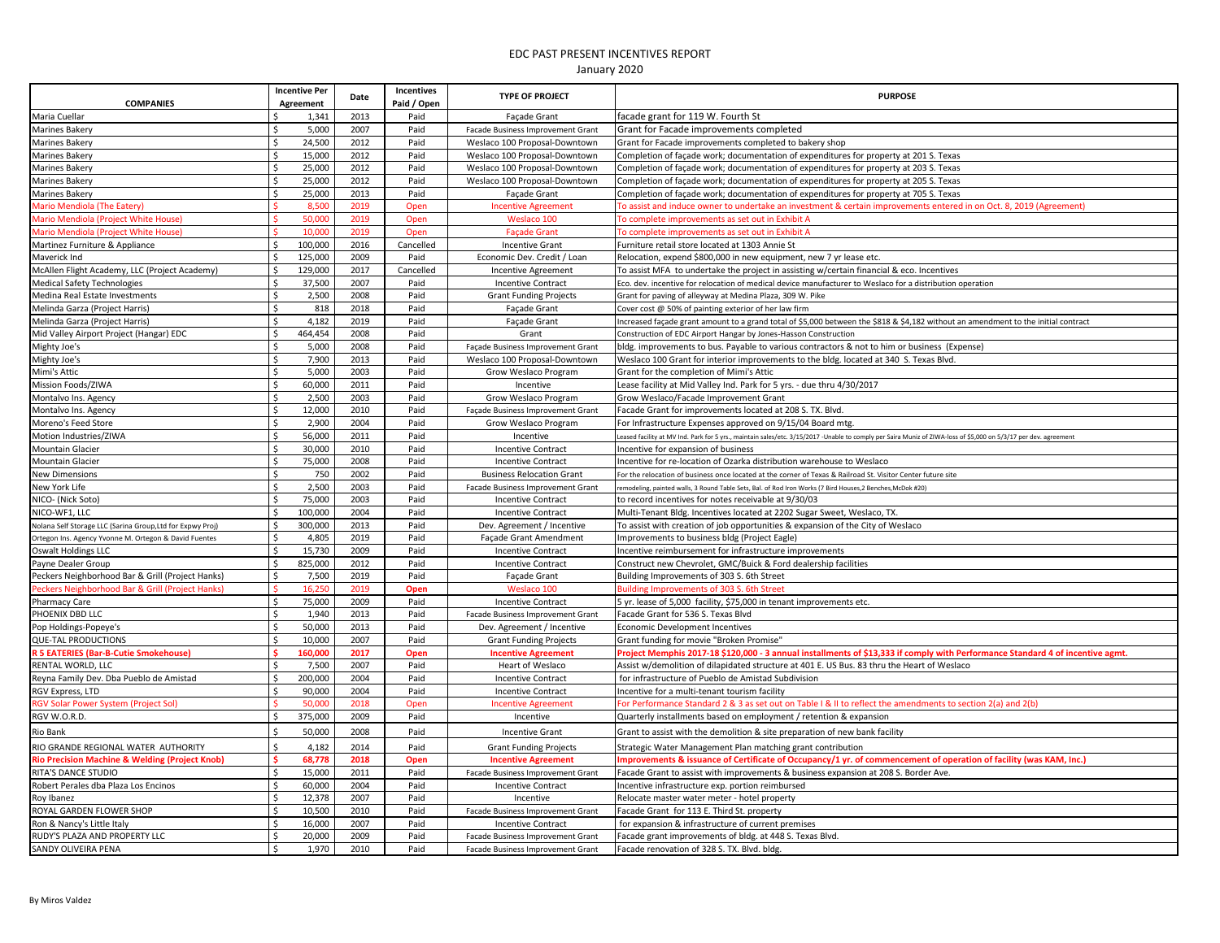| <b>COMPANIES</b>                                           |                     | <b>Incentive Per</b><br>Agreement | Date | Incentives<br>Paid / Open | <b>TYPE OF PROJECT</b>            | <b>PURPOSE</b>                                                                                                                                                   |
|------------------------------------------------------------|---------------------|-----------------------------------|------|---------------------------|-----------------------------------|------------------------------------------------------------------------------------------------------------------------------------------------------------------|
| Maria Cuellar                                              |                     | 1,341                             | 2013 | Paid                      | Façade Grant                      | facade grant for 119 W. Fourth St                                                                                                                                |
| <b>Marines Bakery</b>                                      | Ŝ.                  | 5,000                             | 2007 | Paid                      | Facade Business Improvement Grant | Grant for Facade improvements completed                                                                                                                          |
| <b>Marines Bakery</b>                                      | Ŝ.                  | 24,500                            | 2012 | Paid                      | Weslaco 100 Proposal-Downtown     | Grant for Facade improvements completed to bakery shop                                                                                                           |
| Marines Bakery                                             | Ŝ.                  | 15,000                            | 2012 | Paid                      | Weslaco 100 Proposal-Downtown     | Completion of façade work; documentation of expenditures for property at 201 S. Texas                                                                            |
| <b>Marines Bakery</b>                                      | Ŝ.                  | 25,000                            | 2012 | Paid                      | Weslaco 100 Proposal-Downtown     | Completion of façade work; documentation of expenditures for property at 203 S. Texas                                                                            |
| Marines Bakery                                             | Ŝ.                  | 25,000                            | 2012 | Paid                      | Weslaco 100 Proposal-Downtown     | Completion of facade work; documentation of expenditures for property at 205 S. Texas                                                                            |
| <b>Marines Bakery</b>                                      | $\zeta$             | 25,000                            | 2013 | Paid                      | <b>Façade Grant</b>               | Completion of façade work; documentation of expenditures for property at 705 S. Texas                                                                            |
| Mario Mendiola (The Eatery)                                |                     | 8,50                              | 2019 | Open                      | <b>Incentive Agreement</b>        | o assist and induce owner to undertake an investment & certain improvements entered in on Oct. 8, 2019 (Agreement)                                               |
| Mario Mendiola (Project White House)                       |                     | 50.000                            | 2019 | Open                      | Weslaco 100                       | To complete improvements as set out in Exhibit A                                                                                                                 |
| Mario Mendiola (Project White House)                       |                     | 10,000                            | 2019 | Oper                      | <b>Façade Grant</b>               | To complete improvements as set out in Exhibit A                                                                                                                 |
| Martinez Furniture & Appliance                             | Ŝ                   | 100,000                           | 2016 | Cancelled                 | <b>Incentive Grant</b>            | Furniture retail store located at 1303 Annie St                                                                                                                  |
| Maverick Ind                                               | <sup>\$</sup>       | 125,000                           | 2009 | Paid                      | Economic Dev. Credit / Loan       | Relocation, expend \$800,000 in new equipment, new 7 yr lease etc.                                                                                               |
| McAllen Flight Academy, LLC (Project Academy)              | Ŝ.                  | 129,000                           | 2017 | Cancelled                 | Incentive Agreement               | To assist MFA to undertake the project in assisting w/certain financial & eco. Incentives                                                                        |
| <b>Medical Safety Technologies</b>                         | $\mathsf{\hat{S}}$  | 37,500                            | 2007 | Paid                      | <b>Incentive Contract</b>         | Eco. dev. incentive for relocation of medical device manufacturer to Weslaco for a distribution operation                                                        |
| Medina Real Estate Investments                             | Ŝ.                  | 2,500                             | 2008 | Paid                      | <b>Grant Funding Projects</b>     | Grant for paving of alleyway at Medina Plaza, 309 W. Pike                                                                                                        |
| Melinda Garza (Project Harris)                             | \$                  | 818                               | 2018 | Paid                      | Façade Grant                      | Cover cost @ 50% of painting exterior of her law firm                                                                                                            |
| Melinda Garza (Project Harris)                             | \$                  | 4,182                             | 2019 | Paid                      | Façade Grant                      | Increased façade grant amount to a grand total of \$5,000 between the \$818 & \$4,182 without an amendment to the initial contract                               |
| Mid Valley Airport Project (Hangar) EDC                    | \$                  | 464,454                           | 2008 | Paid                      | Grant                             | Construction of EDC Airport Hangar by Jones-Hasson Construction                                                                                                  |
| Mighty Joe's                                               | \$                  | 5,000                             | 2008 | Paid                      | Façade Business Improvement Grant | bldg. improvements to bus. Payable to various contractors & not to him or business (Expense)                                                                     |
| Mighty Joe's                                               | \$                  | 7,900                             | 2013 | Paid                      | Weslaco 100 Proposal-Downtown     | Weslaco 100 Grant for interior improvements to the bldg. located at 340 S. Texas Blvd.                                                                           |
| Mimi's Attic                                               | \$                  | 5,000                             | 2003 | Paid                      | Grow Weslaco Program              | Grant for the completion of Mimi's Attic                                                                                                                         |
| Mission Foods/ZIWA                                         | \$                  | 60,000                            | 2011 | Paid                      | Incentive                         | Lease facility at Mid Valley Ind. Park for 5 yrs. - due thru 4/30/2017                                                                                           |
| Montalvo Ins. Agency                                       | $\mathsf{\hat{S}}$  | 2,500                             | 2003 | Paid                      | Grow Weslaco Program              | Grow Weslaco/Facade Improvement Grant                                                                                                                            |
| Montalvo Ins. Agency                                       | Ŝ.                  | 12,000                            | 2010 | Paid                      | Façade Business Improvement Grant | Facade Grant for improvements located at 208 S. TX. Blvd.                                                                                                        |
| Moreno's Feed Store                                        | Ŝ.                  | 2,900                             | 2004 | Paid                      | Grow Weslaco Program              | For Infrastructure Expenses approved on 9/15/04 Board mtg.                                                                                                       |
| Motion Industries/ZIWA                                     | \$                  | 56,000                            | 2011 | Paid                      | Incentive                         | eased facility at MV Ind. Park for 5 yrs., maintain sales/etc. 3/15/2017 -Unable to comply per Saira Muniz of ZIWA-loss of \$5,000 on 5/3/17 per dev. agreement. |
| <b>Mountain Glacier</b>                                    | Ŝ.                  | 30,000                            | 2010 | Paid                      | <b>Incentive Contract</b>         | Incentive for expansion of business                                                                                                                              |
| <b>Mountain Glacier</b>                                    | \$                  | 75,000                            | 2008 | Paid                      | <b>Incentive Contract</b>         | Incentive for re-location of Ozarka distribution warehouse to Weslaco                                                                                            |
| <b>New Dimensions</b>                                      | Ŝ.                  | 750                               | 2002 | Paid                      | <b>Business Relocation Grant</b>  | For the relocation of business once located at the corner of Texas & Railroad St. Visitor Center future site                                                     |
| New York Life                                              | Ŝ.                  | 2,500                             | 2003 | Paid                      | Facade Business Improvement Grant | emodeling, painted walls, 3 Round Table Sets, Bal. of Rod Iron Works (7 Bird Houses, 2 Benches, McDok #20)                                                       |
| NICO- (Nick Soto)                                          | Ŝ.                  | 75,000                            | 2003 | Paid                      | <b>Incentive Contract</b>         | to record incentives for notes receivable at 9/30/03                                                                                                             |
| NICO-WF1, LLC                                              | \$                  | 100,000                           | 2004 | Paid                      | <b>Incentive Contract</b>         | Multi-Tenant Bldg. Incentives located at 2202 Sugar Sweet, Weslaco, TX.                                                                                          |
| Nolana Self Storage LLC (Sarina Group, Ltd for Expwy Proj) | Ŝ.                  | 300,000                           | 2013 | Paid                      | Dev. Agreement / Incentive        | To assist with creation of job opportunities & expansion of the City of Weslaco                                                                                  |
| Ortegon Ins. Agency Yvonne M. Ortegon & David Fuentes      | \$                  | 4,805                             | 2019 | Paid                      | Façade Grant Amendment            | Improvements to business bldg (Project Eagle)                                                                                                                    |
| <b>Oswalt Holdings LLC</b>                                 | \$                  | 15,730                            | 2009 | Paid                      | <b>Incentive Contract</b>         | Incentive reimbursement for infrastructure improvements                                                                                                          |
| Payne Dealer Group                                         | Ŝ.                  | 825,000                           | 2012 | Paid                      | <b>Incentive Contract</b>         | Construct new Chevrolet, GMC/Buick & Ford dealership facilities                                                                                                  |
| Peckers Neighborhood Bar & Grill (Project Hanks)           | \$                  | 7,500                             | 2019 | Paid                      | Façade Grant                      | Building Improvements of 303 S. 6th Street                                                                                                                       |
| Peckers Neighborhood Bar & Grill (Project Hanks)           |                     | 16,250                            | 2019 | Open                      | Weslaco 100                       | Building Improvements of 303 S. 6th Street                                                                                                                       |
| <b>Pharmacy Care</b>                                       | Ŝ.                  | 75,000                            | 2009 | Paid                      | <b>Incentive Contract</b>         | 5 yr. lease of 5,000 facility, \$75,000 in tenant improvements etc.                                                                                              |
| PHOENIX DBD LLC                                            | $\mathsf{\$}$       | 1,940                             | 2013 | Paid                      | Facade Business Improvement Grant | Facade Grant for 536 S. Texas Blvd                                                                                                                               |
| Pop Holdings-Popeye's                                      | \$                  | 50,000                            | 2013 | Paid                      | Dev. Agreement / Incentive        | Economic Development Incentives                                                                                                                                  |
| QUE-TAL PRODUCTIONS                                        | Ŝ.                  | 10,000                            | 2007 | Paid                      | <b>Grant Funding Projects</b>     | Grant funding for movie "Broken Promise"                                                                                                                         |
| <b>R 5 EATERIES (Bar-B-Cutie Smokehouse)</b>               |                     | 160,000                           | 2017 | Open                      | <b>Incentive Agreement</b>        | Project Memphis 2017-18 \$120,000 - 3 annual installments of \$13,333 if comply with Performance Standard 4 of incentive agmt                                    |
| RENTAL WORLD, LLC                                          | $\zeta$             | 7,500                             | 2007 | Paid                      | <b>Heart of Weslaco</b>           | Assist w/demolition of dilapidated structure at 401 E. US Bus. 83 thru the Heart of Weslaco                                                                      |
| Reyna Family Dev. Dba Pueblo de Amistad                    | Ŝ.                  | 200,000                           | 2004 | Paid                      | <b>Incentive Contract</b>         | for infrastructure of Pueblo de Amistad Subdivision                                                                                                              |
| RGV Express, LTD                                           | $\ddot{\textbf{c}}$ | 90,000                            | 2004 | Paid                      | <b>Incentive Contract</b>         | Incentive for a multi-tenant tourism facility                                                                                                                    |
| <b>GV Solar Power System (Project Sol)</b>                 |                     | 50,000                            | 2018 | Open                      | <b>Incentive Agreement</b>        | For Performance Standard 2 & 3 as set out on Table I & II to reflect the amendments to section 2(a) and 2(b)                                                     |
| RGV W.O.R.D.                                               | $\mathsf{s}$        | 375,000                           | 2009 | Paid                      | Incentive                         | Quarterly installments based on employment / retention & expansion                                                                                               |
| Rio Bank                                                   |                     | 50,000                            | 2008 | Paid                      | <b>Incentive Grant</b>            | Grant to assist with the demolition & site preparation of new bank facility                                                                                      |
| RIO GRANDE REGIONAL WATER AUTHORITY                        | Ŝ.                  | 4,182                             | 2014 | Paid                      | <b>Grant Funding Projects</b>     | Strategic Water Management Plan matching grant contribution                                                                                                      |
| <b>Rio Precision Machine &amp; Welding (Project Knob)</b>  |                     | 68,778                            | 2018 | Open                      | <b>Incentive Agreement</b>        | Improvements & issuance of Certificate of Occupancy/1 yr. of commencement of operation of facility (was KAM, Inc.)                                               |
| RITA'S DANCE STUDIO                                        | \$                  | 15,000                            | 2011 | Paid                      | Facade Business Improvement Grant | Facade Grant to assist with improvements & business expansion at 208 S. Border Ave                                                                               |
| Robert Perales dba Plaza Los Encinos                       | Ŝ.                  | 60,000                            | 2004 | Paid                      | <b>Incentive Contract</b>         | Incentive infrastructure exp. portion reimbursed                                                                                                                 |
| Roy Ibanez                                                 | Ŝ.                  | 12,378                            | 2007 | Paid                      | Incentive                         | Relocate master water meter - hotel property                                                                                                                     |
| ROYAL GARDEN FLOWER SHOP                                   | \$                  | 10,500                            | 2010 | Paid                      | Facade Business Improvement Grant | Facade Grant for 113 E. Third St. property                                                                                                                       |
| Ron & Nancy's Little Italy                                 | \$                  | 16,000                            | 2007 | Paid                      | <b>Incentive Contract</b>         | for expansion & infrastructure of current premises                                                                                                               |
| RUDY'S PLAZA AND PROPERTY LLC                              | Ŝ.                  | 20,000                            | 2009 | Paid                      | Facade Business Improvement Grant | Facade grant improvements of bldg. at 448 S. Texas Blvd.                                                                                                         |
| SANDY OLIVEIRA PENA                                        | \$                  | 1,970                             | 2010 | Paid                      | Facade Business Improvement Grant | Facade renovation of 328 S. TX. Blvd. bldg.                                                                                                                      |
|                                                            |                     |                                   |      |                           |                                   |                                                                                                                                                                  |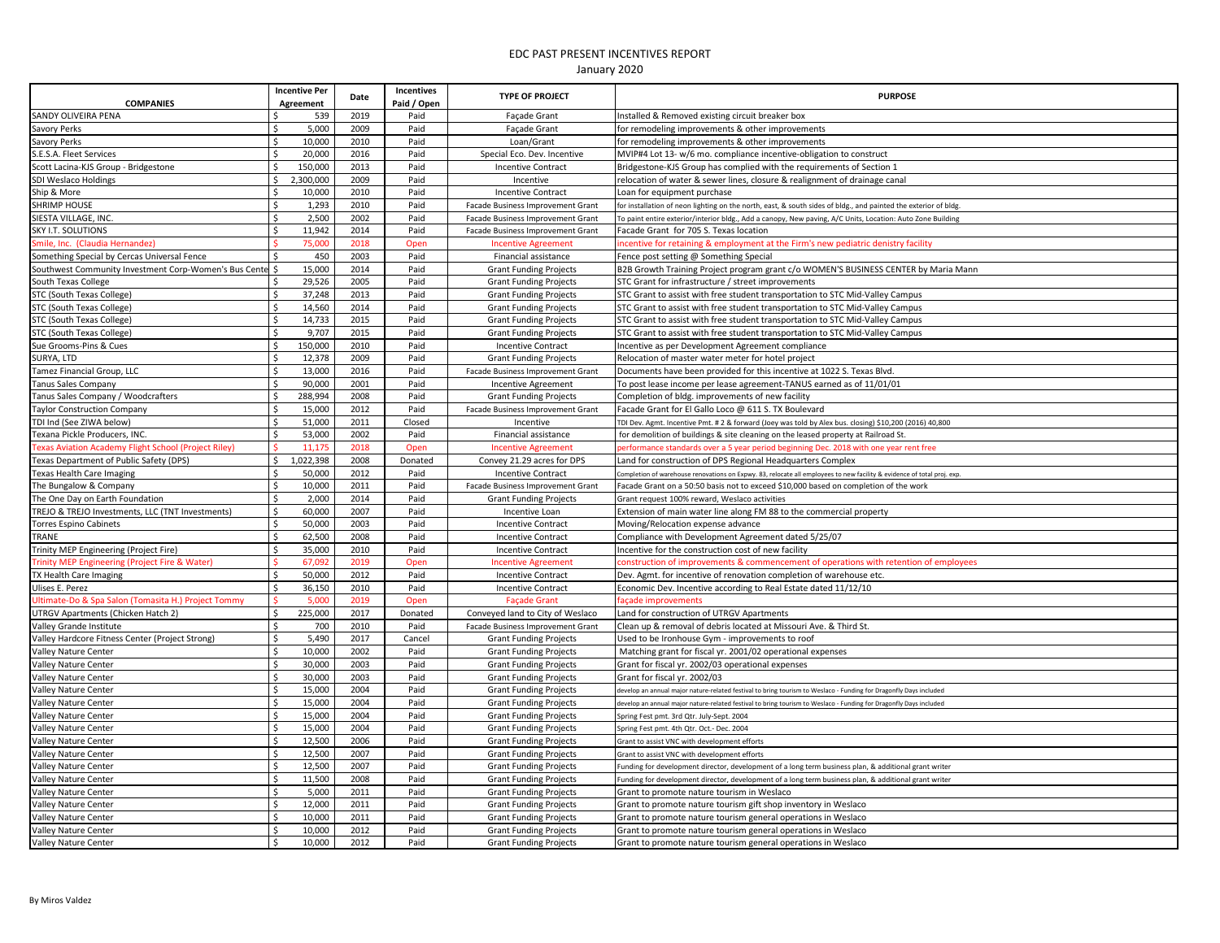| <b>COMPANIES</b>                                       | <b>Incentive Per</b><br>Agreement | Date | Incentives<br>Paid / Open | <b>TYPE OF PROJECT</b>            | <b>PURPOSE</b>                                                                                                          |
|--------------------------------------------------------|-----------------------------------|------|---------------------------|-----------------------------------|-------------------------------------------------------------------------------------------------------------------------|
| SANDY OLIVEIRA PENA                                    | 539                               | 2019 | Paid                      | <b>Facade Grant</b>               | nstalled & Removed existing circuit breaker box                                                                         |
| Savory Perks                                           | 5,000<br>\$                       | 2009 | Paid                      | <b>Facade Grant</b>               | or remodeling improvements & other improvements                                                                         |
| Savory Perks                                           | \$<br>10,000                      | 2010 | Paid                      | Loan/Grant                        | for remodeling improvements & other improvements                                                                        |
| S.E.S.A. Fleet Services                                | 20,000                            | 2016 | Paid                      | Special Eco. Dev. Incentive       | MVIP#4 Lot 13- w/6 mo. compliance incentive-obligation to construct                                                     |
| Scott Lacina-KJS Group - Bridgestone                   | 150,000<br>-Ś                     | 2013 | Paid                      | <b>Incentive Contract</b>         | Bridgestone-KJS Group has complied with the requirements of Section 1                                                   |
| SDI Weslaco Holdings                                   | \$<br>2,300,000                   | 2009 | Paid                      | Incentive                         | elocation of water & sewer lines, closure & realignment of drainage canal                                               |
| Ship & More                                            | 10,000<br>Ŝ                       | 2010 | Paid                      | <b>Incentive Contract</b>         | oan for equipment purchase.                                                                                             |
| <b>SHRIMP HOUSE</b>                                    | Ś<br>1,293                        | 2010 | Paid                      | Facade Business Improvement Grant | or installation of neon lighting on the north, east, & south sides of bldg., and painted the exterior of bldg.          |
| SIESTA VILLAGE, INC.                                   | Ś<br>2,500                        | 2002 | Paid                      | Facade Business Improvement Grant | To paint entire exterior/interior bldg., Add a canopy, New paving, A/C Units, Location: Auto Zone Building              |
| <b>SKY I.T. SOLUTIONS</b>                              | $\mathsf{\hat{S}}$<br>11,942      | 2014 | Paid                      | Facade Business Improvement Grant | Facade Grant for 705 S. Texas location                                                                                  |
| Smile, Inc. (Claudia Hernandez)                        | 75,000                            | 2018 | Open                      | <b>Incentive Agreement</b>        | ncentive for retaining & employment at the Firm's new pediatric denistry facility                                       |
| Something Special by Cercas Universal Fence            | 450                               | 2003 | Paid                      | Financial assistance              | ence post setting @ Something Special                                                                                   |
| Southwest Community Investment Corp-Women's Bus Center | 15,000                            | 2014 | Paid                      | <b>Grant Funding Projects</b>     | B2B Growth Training Project program grant c/o WOMEN'S BUSINESS CENTER by Maria Mann                                     |
| South Texas College                                    | 29,526                            | 2005 | Paid                      | <b>Grant Funding Projects</b>     | STC Grant for infrastructure / street improvements                                                                      |
| STC (South Texas College)                              | 37,248                            | 2013 | Paid                      | <b>Grant Funding Projects</b>     | STC Grant to assist with free student transportation to STC Mid-Valley Campus                                           |
| STC (South Texas College)                              | 14,560<br>Ŝ.                      | 2014 | Paid                      | <b>Grant Funding Projects</b>     | STC Grant to assist with free student transportation to STC Mid-Valley Campus                                           |
| STC (South Texas College)                              | $\zeta$<br>14,733                 | 2015 | Paid                      | <b>Grant Funding Projects</b>     | STC Grant to assist with free student transportation to STC Mid-Valley Campus                                           |
| STC (South Texas College)                              | $\zeta$<br>9,707                  | 2015 | Paid                      |                                   | STC Grant to assist with free student transportation to STC Mid-Valley Campus                                           |
|                                                        | Ś.<br>150,000                     | 2010 | Paid                      | <b>Grant Funding Projects</b>     |                                                                                                                         |
| Sue Grooms-Pins & Cues                                 |                                   |      |                           | <b>Incentive Contract</b>         | ncentive as per Development Agreement compliance                                                                        |
| SURYA, LTD                                             | l \$<br>12,378                    | 2009 | Paid                      | <b>Grant Funding Projects</b>     | Relocation of master water meter for hotel project                                                                      |
| Tamez Financial Group, LLC                             | l\$<br>13,000                     | 2016 | Paid                      | Facade Business Improvement Grant | Documents have been provided for this incentive at 1022 S. Texas Blvd.                                                  |
| <b>Tanus Sales Company</b>                             | l s<br>90,000                     | 2001 | Paid                      | Incentive Agreement               | To post lease income per lease agreement-TANUS earned as of 11/01/01                                                    |
| Tanus Sales Company / Woodcrafters                     | <sub>S</sub><br>288,994           | 2008 | Paid                      | <b>Grant Funding Projects</b>     | Completion of bldg. improvements of new facility                                                                        |
| <b>Taylor Construction Company</b>                     | l\$<br>15,000                     | 2012 | Paid                      | Facade Business Improvement Grant | Facade Grant for El Gallo Loco @ 611 S. TX Boulevard                                                                    |
| TDI Ind (See ZIWA below)                               | S,<br>51,000                      | 2011 | Closed                    | Incentive                         | DI Dev. Agmt. Incentive Pmt. # 2 & forward (Joey was told by Alex bus. closing) \$10,200 (2016) 40,800                  |
| Texana Pickle Producers, INC.                          | l \$<br>53,000                    | 2002 | Paid                      | Financial assistance              | for demolition of buildings & site cleaning on the leased property at Railroad St.                                      |
| Texas Aviation Academy Flight School (Project Riley)   | 11,175                            | 2018 | Open                      | <b>Incentive Agreement</b>        | erformance standards over a 5 year period beginning Dec. 2018 with one year rent free                                   |
| Texas Department of Public Safety (DPS)                | 1,022,398<br>$\ddot{\circ}$       | 2008 | Donated                   | Convey 21.29 acres for DPS        | Land for construction of DPS Regional Headquarters Complex                                                              |
| <b>Texas Health Care Imaging</b>                       | \$<br>50,000                      | 2012 | Paid                      | <b>Incentive Contract</b>         | Completion of warehouse renovations on Expwy. 83, relocate all employees to new facility & evidence of total proj. exp. |
| The Bungalow & Company                                 | 5<br>10,000                       | 2011 | Paid                      | Facade Business Improvement Grant | acade Grant on a 50:50 basis not to exceed \$10,000 based on completion of the work                                     |
| The One Day on Earth Foundation                        | \$<br>2,000                       | 2014 | Paid                      | <b>Grant Funding Projects</b>     | Grant request 100% reward, Weslaco activities                                                                           |
| TREJO & TREJO Investments, LLC (TNT Investments)       | l \$<br>60,000                    | 2007 | Paid                      | Incentive Loan                    | Extension of main water line along FM 88 to the commercial property                                                     |
| <b>Torres Espino Cabinets</b>                          | $\mathsf{S}$<br>50,000            | 2003 | Paid                      | <b>Incentive Contract</b>         | Moving/Relocation expense advance                                                                                       |
| TRANE                                                  | $\mathsf{S}$<br>62,500            | 2008 | Paid                      | <b>Incentive Contract</b>         | Compliance with Development Agreement dated 5/25/07                                                                     |
| Trinity MEP Engineering (Project Fire)                 | 35,000<br>\$                      | 2010 | Paid                      | <b>Incentive Contract</b>         | ncentive for the construction cost of new facility                                                                      |
| Trinity MEP Engineering (Project Fire & Water)         | 67,092                            | 2019 | Open                      | <b>Incentive Agreement</b>        | onstruction of improvements & commencement of operations with retention of employees                                    |
| TX Health Care Imaging                                 | l \$<br>50,000                    | 2012 | Paid                      | <b>Incentive Contract</b>         | Dev. Agmt. for incentive of renovation completion of warehouse etc.                                                     |
| Ulises E. Perez                                        | l \$<br>36,150                    | 2010 | Paid                      | <b>Incentive Contract</b>         | Economic Dev. Incentive according to Real Estate dated 11/12/10                                                         |
| Ultimate-Do & Spa Salon (Tomasita H.) Project Tommy    | 5.000                             | 2019 | Open                      | <b>Facade Grant</b>               | cade improvements                                                                                                       |
| UTRGV Apartments (Chicken Hatch 2)                     | $\ddot{\circ}$<br>225,000         | 2017 | Donated                   | Conveyed land to City of Weslaco  | Land for construction of UTRGV Apartments                                                                               |
| Valley Grande Institute                                | \$<br>700                         | 2010 | Paid                      | Facade Business Improvement Grant | Clean up & removal of debris located at Missouri Ave. & Third St.                                                       |
| Valley Hardcore Fitness Center (Project Strong)        | 5,490<br>$\mathsf{S}$             | 2017 | Cancel                    | <b>Grant Funding Projects</b>     | Used to be Ironhouse Gym - improvements to roof                                                                         |
| Valley Nature Center                                   | \$<br>10,000                      | 2002 | Paid                      | <b>Grant Funding Projects</b>     | Matching grant for fiscal yr. 2001/02 operational expenses                                                              |
| <b>Valley Nature Center</b>                            | \$<br>30,000                      | 2003 | Paid                      | <b>Grant Funding Projects</b>     | Grant for fiscal yr. 2002/03 operational expenses                                                                       |
| Valley Nature Center                                   | $\dot{\mathsf{S}}$<br>30,000      | 2003 | Paid                      | <b>Grant Funding Projects</b>     | Grant for fiscal vr. 2002/03                                                                                            |
| Valley Nature Center                                   | $\mathsf{\$}$<br>15,000           | 2004 | Paid                      | <b>Grant Funding Projects</b>     | levelop an annual major nature-related festival to bring tourism to Weslaco - Funding for Dragonfly Days included       |
| Valley Nature Center                                   | \$<br>15,000                      | 2004 | Paid                      | <b>Grant Funding Projects</b>     | develop an annual major nature-related festival to bring tourism to Weslaco - Funding for Dragonfly Days included       |
| Valley Nature Center                                   | \$<br>15,000                      | 2004 | Paid                      | <b>Grant Funding Projects</b>     | Spring Fest pmt. 3rd Qtr. July-Sept. 2004                                                                               |
| Valley Nature Center                                   | Ŝ.<br>15,000                      | 2004 | Paid                      | <b>Grant Funding Projects</b>     | Spring Fest pmt. 4th Qtr. Oct.- Dec. 2004                                                                               |
| <b>Valley Nature Center</b>                            | \$<br>12,500                      | 2006 | Paid                      | <b>Grant Funding Projects</b>     | Grant to assist VNC with development efforts                                                                            |
| Valley Nature Center                                   | $\mathsf{\hat{S}}$<br>12,500      | 2007 | Paid                      | <b>Grant Funding Projects</b>     | Grant to assist VNC with development efforts                                                                            |
| Valley Nature Center                                   | 12,500<br>-Ś                      | 2007 | Paid                      | <b>Grant Funding Projects</b>     | unding for development director, development of a long term business plan, & additional grant writer                    |
| Valley Nature Center                                   | 11,500<br>Ś                       | 2008 | Paid                      | <b>Grant Funding Projects</b>     | unding for development director, development of a long term business plan, & additional grant writer                    |
| <b>Valley Nature Center</b>                            | Ŝ.<br>5,000                       | 2011 | Paid                      | <b>Grant Funding Projects</b>     | Grant to promote nature tourism in Weslaco                                                                              |
| Valley Nature Center                                   | Ś<br>12,000                       | 2011 | Paid                      | <b>Grant Funding Projects</b>     | Grant to promote nature tourism gift shop inventory in Weslaco                                                          |
| Valley Nature Center                                   | 10,000                            | 2011 | Paid                      | <b>Grant Funding Projects</b>     | Grant to promote nature tourism general operations in Weslaco                                                           |
| Valley Nature Center                                   | 10,000                            | 2012 | Paid                      | <b>Grant Funding Projects</b>     | Grant to promote nature tourism general operations in Weslaco                                                           |
| Valley Nature Center                                   | <sub>S</sub><br>10,000            | 2012 | Paid                      | <b>Grant Funding Projects</b>     | Grant to promote nature tourism general operations in Weslaco                                                           |
|                                                        |                                   |      |                           |                                   |                                                                                                                         |